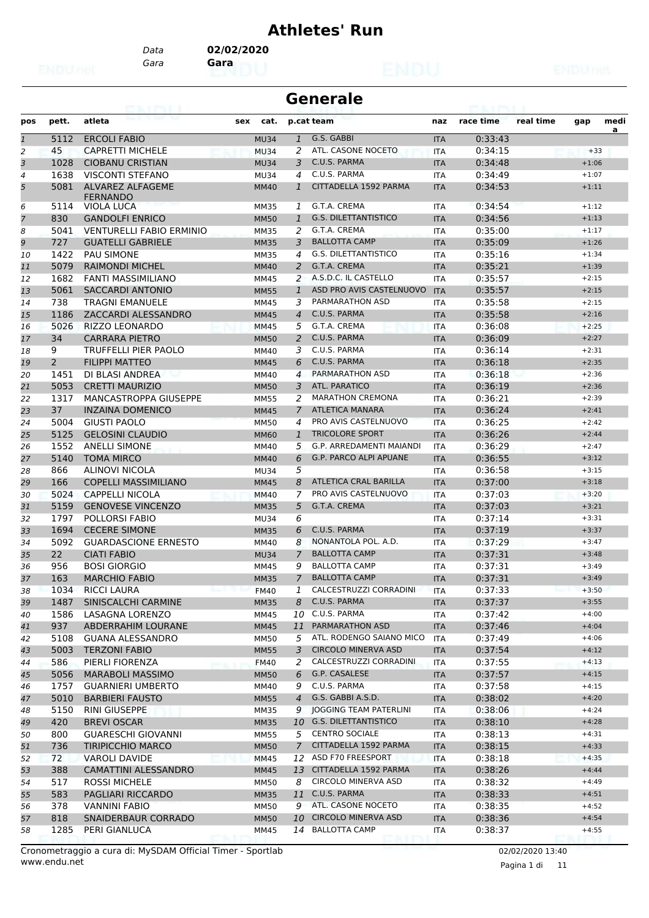# **Athletes' Run**

*Gara* **Gara** *Data* **02/02/2020**

# **Generale**

| pos            | pett.          | atleta                                     | sex<br>cat. |                | p.cat team                                    | naz        | race time          | real time | gap                | medi |
|----------------|----------------|--------------------------------------------|-------------|----------------|-----------------------------------------------|------------|--------------------|-----------|--------------------|------|
| $\mathfrak 1$  | 5112           | <b>ERCOLI FABIO</b>                        | <b>MU34</b> | $\mathbf{1}$   | G.S. GABBI                                    | <b>ITA</b> | 0:33:43            |           |                    | a    |
| 2              | 45             | <b>CAPRETTI MICHELE</b>                    | <b>MU34</b> | 2              | ATL. CASONE NOCETO                            | <b>ITA</b> | 0:34:15            |           | $+33$              |      |
| 3              | 1028           | <b>CIOBANU CRISTIAN</b>                    | <b>MU34</b> | 3              | C.U.S. PARMA                                  | <b>ITA</b> | 0:34:48            |           | $+1:06$            |      |
| 4              | 1638           | <b>VISCONTI STEFANO</b>                    | <b>MU34</b> | 4              | C.U.S. PARMA                                  | <b>ITA</b> | 0:34:49            |           | $+1:07$            |      |
| 5              | 5081           | <b>ALVAREZ ALFAGEME</b><br><b>FERNANDO</b> | <b>MM40</b> | 1              | CITTADELLA 1592 PARMA                         | <b>ITA</b> | 0:34:53            |           | $+1:11$            |      |
| 6              | 5114           | <b>VIOLA LUCA</b>                          | <b>MM35</b> | 1              | G.T.A. CREMA                                  | <b>ITA</b> | 0:34:54            |           | $+1:12$            |      |
| $\overline{7}$ | 830            | <b>GANDOLFI ENRICO</b>                     | <b>MM50</b> | $\mathbf{1}$   | <b>G.S. DILETTANTISTICO</b>                   | <b>ITA</b> | 0:34:56            |           | $+1:13$            |      |
| 8              | 5041           | <b>VENTURELLI FABIO ERMINIO</b>            | <b>MM35</b> | 2              | G.T.A. CREMA                                  | <b>ITA</b> | 0:35:00            |           | $+1:17$            |      |
| 9              | 727            | <b>GUATELLI GABRIELE</b>                   | <b>MM35</b> | 3              | <b>BALLOTTA CAMP</b>                          | <b>ITA</b> | 0:35:09            |           | $+1:26$            |      |
| 10             | 1422           | <b>PAU SIMONE</b>                          | <b>MM35</b> | 4              | <b>G.S. DILETTANTISTICO</b>                   | <b>ITA</b> | 0:35:16            |           | $+1:34$            |      |
| 11             | 5079           | <b>RAIMONDI MICHEL</b>                     | <b>MM40</b> | $\overline{2}$ | G.T.A. CREMA                                  | <b>ITA</b> | 0:35:21            |           | $+1:39$            |      |
| 12             | 1682           | FANTI MASSIMILIANO                         | <b>MM45</b> | 2              | A.S.D.C. IL CASTELLO                          | <b>ITA</b> | 0:35:57            |           | $+2:15$            |      |
| 13             | 5061           | <b>SACCARDI ANTONIO</b>                    | <b>MM55</b> | $\mathbf{1}$   | ASD PRO AVIS CASTELNUOVO                      | <b>ITA</b> | 0:35:57            |           | $+2:15$            |      |
| 14             | 738            | <b>TRAGNI EMANUELE</b>                     | <b>MM45</b> | 3              | PARMARATHON ASD                               | <b>ITA</b> | 0:35:58            |           | $+2:15$            |      |
| 15             | 1186           | ZACCARDI ALESSANDRO                        | <b>MM45</b> | $\overline{4}$ | C.U.S. PARMA                                  | <b>ITA</b> | 0:35:58            |           | $+2:16$            |      |
| 16             | 5026           | RIZZO LEONARDO                             | <b>MM45</b> | 5              | G.T.A. CREMA                                  | <b>ITA</b> | 0:36:08            |           | $+2:25$            |      |
| 17             | 34             | <b>CARRARA PIETRO</b>                      | <b>MM50</b> | $\overline{2}$ | C.U.S. PARMA                                  | <b>ITA</b> | 0:36:09            |           | $+2:27$            |      |
| 18             | 9              | <b>TRUFFELLI PIER PAOLO</b>                | <b>MM40</b> | 3              | C.U.S. PARMA                                  | <b>ITA</b> | 0:36:14            |           | $+2:31$            |      |
| 19             | $\overline{2}$ | <b>FILIPPI MATTEO</b>                      | <b>MM45</b> | 6              | C.U.S. PARMA                                  | <b>ITA</b> | 0:36:18            |           | $+2:35$            |      |
| 20             | 1451           | DI BLASI ANDREA                            | <b>MM40</b> | 4              | PARMARATHON ASD                               | <b>ITA</b> | 0:36:18            |           | $+2:36$            |      |
| 21             | 5053           | <b>CRETTI MAURIZIO</b>                     | <b>MM50</b> | 3              | ATL. PARATICO                                 | <b>ITA</b> | 0:36:19            |           | $+2:36$            |      |
| 22             | 1317           | <b>MANCASTROPPA GIUSEPPE</b>               | <b>MM55</b> | 2              | <b>MARATHON CREMONA</b>                       | <b>ITA</b> | 0:36:21            |           | $+2:39$            |      |
| 23             | 37             | <b>INZAINA DOMENICO</b>                    | <b>MM45</b> | $\overline{7}$ | <b>ATLETICA MANARA</b>                        | <b>ITA</b> | 0:36:24            |           | $+2:41$            |      |
| 24             | 5004           | <b>GIUSTI PAOLO</b>                        | <b>MM50</b> | 4              | PRO AVIS CASTELNUOVO                          | <b>ITA</b> | 0:36:25            |           | $+2:42$            |      |
| 25             | 5125           | <b>GELOSINI CLAUDIO</b>                    | <b>MM60</b> | $\mathbf{1}$   | <b>TRICOLORE SPORT</b>                        | <b>ITA</b> | 0:36:26            |           | $+2:44$            |      |
| 26             | 1552           | <b>ANELLI SIMONE</b>                       | <b>MM40</b> | 5              | <b>G.P. ARREDAMENTI MAIANDI</b>               | <b>ITA</b> | 0:36:29            |           | $+2:47$            |      |
| 27             | 5140           | <b>TOMA MIRCO</b>                          | <b>MM40</b> | 6              | <b>G.P. PARCO ALPI APUANE</b>                 | <b>ITA</b> | 0:36:55            |           | $+3:12$            |      |
| 28             | 866            | <b>ALINOVI NICOLA</b>                      | <b>MU34</b> | 5              |                                               | <b>ITA</b> | 0:36:58            |           | $+3:15$            |      |
| 29             | 166            | <b>COPELLI MASSIMILIANO</b>                | <b>MM45</b> | 8              | <b>ATLETICA CRAL BARILLA</b>                  | <b>ITA</b> | 0:37:00            |           | $+3:18$            |      |
| 30             | 5024           | <b>CAPPELLI NICOLA</b>                     | <b>MM40</b> | 7              | PRO AVIS CASTELNUOVO                          | <b>ITA</b> | 0:37:03            |           | $+3:20$            |      |
| 31             | 5159           | <b>GENOVESE VINCENZO</b>                   | <b>MM35</b> | 5              | G.T.A. CREMA                                  | <b>ITA</b> | 0:37:03            |           | $+3:21$            |      |
| 32             | 1797           | POLLORSI FABIO                             | <b>MU34</b> | 6              |                                               | <b>ITA</b> | 0:37:14            |           | $+3:31$            |      |
| 33             | 1694           | <b>CECERE SIMONE</b>                       | <b>MM35</b> | 6              | C.U.S. PARMA                                  | <b>ITA</b> | 0:37:19            |           | $+3:37$            |      |
| 34             | 5092           | <b>GUARDASCIONE ERNESTO</b>                | <b>MM40</b> | 8              | NONANTOLA POL. A.D.                           | <b>ITA</b> | 0:37:29            |           | $+3:47$            |      |
| 35             | 22             | <b>CIATI FABIO</b>                         | <b>MU34</b> | 7              | <b>BALLOTTA CAMP</b>                          | <b>ITA</b> | 0:37:31            |           | $+3:48$            |      |
| 36             | 956            | <b>BOSI GIORGIO</b>                        | <b>MM45</b> | 9              | <b>BALLOTTA CAMP</b>                          | <b>ITA</b> | 0:37:31            |           | $+3:49$            |      |
| 37             | 163            | <b>MARCHIO FABIO</b>                       | <b>MM35</b> | 7              | <b>BALLOTTA CAMP</b>                          | <b>ITA</b> | 0:37:31            |           | $+3:49$            |      |
| 38             | 1034           | <b>RICCI LAURA</b>                         | <b>FM40</b> | 1              | CALCESTRUZZI CORRADINI                        | <b>ITA</b> | 0:37:33            |           | $+3:50$            |      |
| 39             | 1487           | SINISCALCHI CARMINE                        | <b>MM35</b> | 8              | C.U.S. PARMA                                  | <b>ITA</b> | 0:37:37            |           | $+3:55$            |      |
| 40             | 1586           | LASAGNA LORENZO                            | MM45        |                | 10 C.U.S. PARMA                               | ITA        | 0:37:42            |           | $+4:00$            |      |
| 41             | 937            | ABDERRAHIM LOURANE                         | <b>MM45</b> | 11             | PARMARATHON ASD                               | <b>ITA</b> | 0:37:46            |           | $+4:04$            |      |
| 42             | 5108           | <b>GUANA ALESSANDRO</b>                    | <b>MM50</b> | 5              | ATL. RODENGO SAIANO MICO                      | ITA        | 0:37:49            |           | $+4:06$            |      |
| 43             | 5003           | <b>TERZONI FABIO</b>                       | <b>MM55</b> | 3              | <b>CIRCOLO MINERVA ASD</b>                    | <b>ITA</b> | 0:37:54            |           | $+4:12$            |      |
| 44             | 586            | PIERLI FIORENZA                            | <b>FM40</b> | 2              | CALCESTRUZZI CORRADINI                        | ITA        | 0:37:55            |           | $+4:13$            |      |
| 45             | 5056           | <b>MARABOLI MASSIMO</b>                    | <b>MM50</b> | 6              | G.P. CASALESE                                 | <b>ITA</b> | 0:37:57            |           | $+4:15$            |      |
| 46             | 1757           | <b>GUARNIERI UMBERTO</b>                   | MM40        | 9              | C.U.S. PARMA                                  | ITA        | 0:37:58            |           | $+4:15$            |      |
| 47             | 5010           | <b>BARBIERI FAUSTO</b>                     | <b>MM55</b> | $\overline{4}$ | G.S. GABBI A.S.D.                             | <b>ITA</b> | 0:38:02            |           | $+4:20$            |      |
| 48             | 5150           | <b>RINI GIUSEPPE</b>                       | <b>MM35</b> | 9              | JOGGING TEAM PATERLINI                        | ITA        | 0:38:06            |           | $+4:24$            |      |
| 49             | 420            | <b>BREVI OSCAR</b>                         | <b>MM35</b> |                | 10 G.S. DILETTANTISTICO                       | <b>ITA</b> | 0:38:10            |           | $+4:28$            |      |
| 50             | 800            | <b>GUARESCHI GIOVANNI</b>                  | <b>MM55</b> |                | 5 CENTRO SOCIALE                              | ITA        | 0:38:13            |           | $+4:31$            |      |
| 51             | 736            | <b>TIRIPICCHIO MARCO</b>                   | <b>MM50</b> | $\overline{7}$ | CITTADELLA 1592 PARMA                         | <b>ITA</b> | 0:38:15            |           | $+4:33$            |      |
| 52             | 72             | <b>VAROLI DAVIDE</b>                       | MM45        | 12             | ASD F70 FREESPORT<br>13 CITTADELLA 1592 PARMA | ITA        | 0:38:18            |           | $+4:35$            |      |
| 53             | 388            | <b>CAMATTINI ALESSANDRO</b>                | <b>MM45</b> |                | CIRCOLO MINERVA ASD                           | <b>ITA</b> | 0:38:26            |           | $+4:44$            |      |
| 54             | 517            | <b>ROSSI MICHELE</b>                       | <b>MM50</b> | 8              | C.U.S. PARMA                                  | ITA        | 0:38:32            |           | $+4:49$<br>$+4:51$ |      |
| 55             | 583<br>378     | PAGLIARI RICCARDO                          | <b>MM35</b> | 11<br>9        | ATL. CASONE NOCETO                            | <b>ITA</b> | 0:38:33<br>0:38:35 |           | $+4:52$            |      |
| 56             |                | VANNINI FABIO                              | <b>MM50</b> | 10             | <b>CIRCOLO MINERVA ASD</b>                    | ITA        |                    |           | $+4:54$            |      |
| 57             | 818<br>1285    | SNAIDERBAUR CORRADO<br>PERI GIANLUCA       | <b>MM50</b> |                | 14 BALLOTTA CAMP                              | <b>ITA</b> | 0:38:36            |           |                    |      |
| 58             |                |                                            | MM45        |                |                                               | ITA        | 0:38:37            |           | $+4:55$            |      |

www.endu.net Cronometraggio a cura di: MySDAM Official Timer - Sportlab 02/02/2020 13:40

Pagina 1 di 11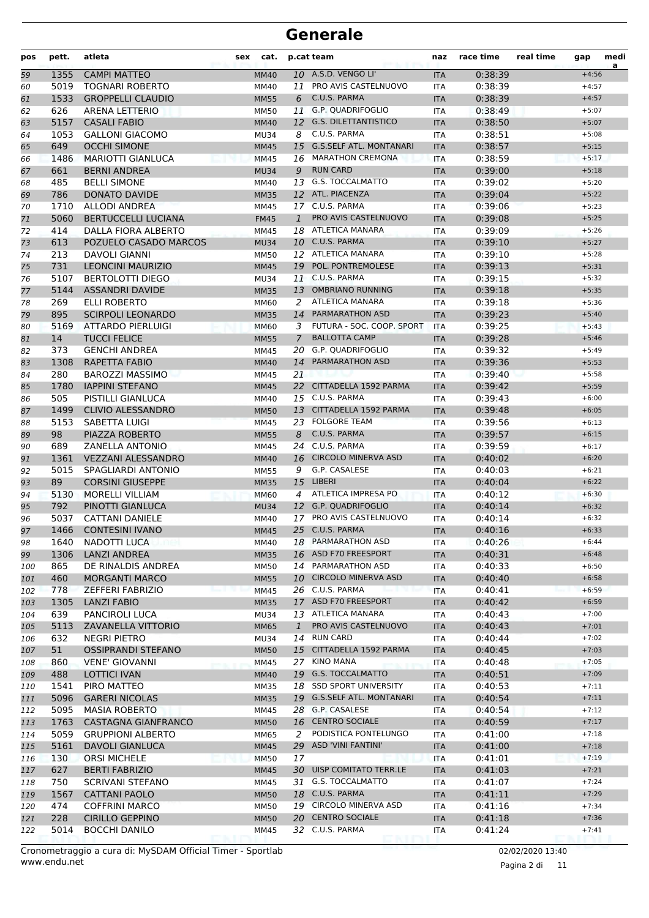| pos        | pett.      | atleta                                           | sex<br>cat.                |                | p.cat team                              | naz               | race time          | real time | gap                | medi<br>a |
|------------|------------|--------------------------------------------------|----------------------------|----------------|-----------------------------------------|-------------------|--------------------|-----------|--------------------|-----------|
| 59         | 1355       | <b>CAMPI MATTEO</b>                              | <b>MM40</b>                |                | 10 A.S.D. VENGO LI'                     | <b>ITA</b>        | 0:38:39            |           | $+4:56$            |           |
| 60         | 5019       | <b>TOGNARI ROBERTO</b>                           | <b>MM40</b>                | 11             | PRO AVIS CASTELNUOVO                    | <b>ITA</b>        | 0:38:39            |           | $+4:57$            |           |
| 61         | 1533       | <b>GROPPELLI CLAUDIO</b>                         | <b>MM55</b>                | 6              | C.U.S. PARMA                            | <b>ITA</b>        | 0:38:39            |           | $+4:57$            |           |
| 62         | 626        | <b>ARENA LETTERIO</b>                            | MM50                       |                | 11 G.P. QUADRIFOGLIO                    | <b>ITA</b>        | 0:38:49            |           | $+5:07$            |           |
| 63         | 5157       | <b>CASALI FABIO</b>                              | <b>MM40</b>                |                | 12 G.S. DILETTANTISTICO                 | <b>ITA</b>        | 0:38:50            |           | $+5:07$            |           |
| 64         | 1053       | <b>GALLONI GIACOMO</b>                           | <b>MU34</b>                | 8              | C.U.S. PARMA                            | <b>ITA</b>        | 0:38:51            |           | $+5:08$            |           |
| 65         | 649        | <b>OCCHI SIMONE</b>                              | <b>MM45</b>                | 15             | <b>G.S.SELF ATL. MONTANARI</b>          | <b>ITA</b>        | 0:38:57            |           | $+5:15$            |           |
| 66         | 1486       | <b>MARIOTTI GIANLUCA</b>                         | <b>MM45</b>                |                | 16 MARATHON CREMONA                     | <b>ITA</b>        | 0:38:59            |           | $+5:17$            |           |
| 67         | 661        | <b>BERNI ANDREA</b>                              | <b>MU34</b>                | 9              | <b>RUN CARD</b>                         | <b>ITA</b>        | 0:39:00            |           | $+5:18$            |           |
| 68         | 485        | <b>BELLI SIMONE</b>                              | MM40                       | 13             | G.S. TOCCALMATTO                        | <b>ITA</b>        | 0:39:02            |           | $+5:20$            |           |
| 69         | 786        | <b>DONATO DAVIDE</b>                             | <b>MM35</b>                |                | 12 ATL. PIACENZA                        | <b>ITA</b>        | 0:39:04            |           | $+5:22$            |           |
| 70         | 1710       | <b>ALLODI ANDREA</b>                             | MM45                       |                | 17 C.U.S. PARMA                         | <b>ITA</b>        | 0:39:06            |           | $+5:23$            |           |
| 71         | 5060       | <b>BERTUCCELLI LUCIANA</b>                       | <b>FM45</b>                | $\mathbf{1}$   | PRO AVIS CASTELNUOVO                    | <b>ITA</b>        | 0:39:08            |           | $+5:25$            |           |
| 72         | 414        | DALLA FIORA ALBERTO                              | <b>MM45</b>                | 18             | ATLETICA MANARA                         | <b>ITA</b>        | 0:39:09            |           | $+5:26$            |           |
| 73         | 613        | POZUELO CASADO MARCOS                            | <b>MU34</b>                |                | 10 C.U.S. PARMA                         | <b>ITA</b>        | 0:39:10            |           | $+5:27$            |           |
| 74         | 213        | <b>DAVOLI GIANNI</b>                             | <b>MM50</b>                |                | 12 ATLETICA MANARA                      | <b>ITA</b>        | 0:39:10            |           | $+5:28$            |           |
| 75         | 731        | <b>LEONCINI MAURIZIO</b>                         | <b>MM45</b>                | 19             | POL. PONTREMOLESE                       | <b>ITA</b>        | 0:39:13            |           | $+5:31$            |           |
| 76         | 5107       | <b>BERTOLOTTI DIEGO</b>                          | <b>MU34</b>                |                | 11 C.U.S. PARMA                         | <b>ITA</b>        | 0:39:15            |           | $+5:32$            |           |
| 77         | 5144       | <b>ASSANDRI DAVIDE</b>                           | <b>MM35</b>                | 13             | <b>OMBRIANO RUNNING</b>                 | <b>ITA</b>        | 0:39:18            |           | $+5:35$            |           |
| 78         | 269        | <b>ELLI ROBERTO</b>                              | MM60                       | 2              | <b>ATLETICA MANARA</b>                  | <b>ITA</b>        | 0:39:18            |           | $+5:36$            |           |
| 79         | 895        | <b>SCIRPOLI LEONARDO</b>                         | <b>MM35</b>                |                | 14 PARMARATHON ASD                      | <b>ITA</b>        | 0:39:23            |           | $+5:40$            |           |
| 80         | 5169       | ATTARDO PIERLUIGI                                | <b>MM60</b>                | 3              | FUTURA - SOC. COOP. SPORT               | <b>ITA</b>        | 0:39:25            |           | $+5:43$            |           |
| 81         | 14         | <b>TUCCI FELICE</b>                              | <b>MM55</b>                | $\overline{7}$ | <b>BALLOTTA CAMP</b>                    | <b>ITA</b>        | 0:39:28            |           | $+5:46$            |           |
| 82         | 373        | <b>GENCHI ANDREA</b>                             | <b>MM45</b>                | 20             | G.P. QUADRIFOGLIO                       | <b>ITA</b>        | 0:39:32            |           | $+5:49$            |           |
| 83         | 1308       | <b>RAPETTA FABIO</b>                             | <b>MM40</b>                | 14             | <b>PARMARATHON ASD</b>                  | <b>ITA</b>        | 0:39:36            |           | $+5:53$            |           |
| 84         | 280        | <b>BAROZZI MASSIMO</b>                           | MM45                       | 21             |                                         | <b>ITA</b>        | 0:39:40            |           | $+5:58$            |           |
| 85         | 1780       | <b>IAPPINI STEFANO</b>                           | <b>MM45</b>                |                | 22 CITTADELLA 1592 PARMA                | <b>ITA</b>        | 0:39:42            |           | $+5:59$            |           |
| 86         | 505        | PISTILLI GIANLUCA                                | MM40                       |                | 15 C.U.S. PARMA                         | <b>ITA</b>        | 0:39:43            |           | $+6:00$            |           |
| 87         | 1499       | <b>CLIVIO ALESSANDRO</b>                         | <b>MM50</b>                | 13             | CITTADELLA 1592 PARMA                   | <b>ITA</b>        | 0:39:48            |           | $+6:05$            |           |
| 88         | 5153       | SABETTA LUIGI                                    | <b>MM45</b>                |                | 23 FOLGORE TEAM                         | <b>ITA</b>        | 0:39:56            |           | $+6:13$            |           |
| 89         | 98         | PIAZZA ROBERTO                                   | <b>MM55</b>                | 8              | C.U.S. PARMA                            | <b>ITA</b>        | 0:39:57            |           | $+6:15$            |           |
| 90         | 689        | <b>ZANELLA ANTONIO</b>                           | MM45                       |                | 24 C.U.S. PARMA                         | <b>ITA</b>        | 0:39:59            |           | $+6:17$            |           |
| 91         | 1361       | <b>VEZZANI ALESSANDRO</b>                        | <b>MM40</b>                |                | 16 CIRCOLO MINERVA ASD                  | <b>ITA</b>        | 0:40:02            |           | $+6:20$            |           |
| 92         | 5015       | SPAGLIARDI ANTONIO                               | <b>MM55</b>                | 9              | G.P. CASALESE                           | <b>ITA</b>        | 0:40:03            |           | $+6:21$            |           |
| 93         | 89         | <b>CORSINI GIUSEPPE</b>                          | <b>MM35</b>                | 15             | <b>LIBERI</b>                           | <b>ITA</b>        | 0:40:04            |           | $+6:22$            |           |
| 94         | 5130       | <b>MORELLI VILLIAM</b>                           | <b>MM60</b>                | 4              | ATLETICA IMPRESA PO                     | <b>ITA</b>        | 0:40:12            |           | $+6:30$            |           |
| 95         | 792        | PINOTTI GIANLUCA                                 | <b>MU34</b>                |                | 12 G.P. QUADRIFOGLIO                    | <b>ITA</b>        | 0:40:14            |           | $+6:32$            |           |
| 96         | 5037       | CATTANI DANIELE                                  | <b>MM40</b>                | 17             | PRO AVIS CASTELNUOVO<br>25 C.U.S. PARMA | <b>ITA</b>        | 0:40:14            |           | $+6:32$<br>$+6:33$ |           |
| 97         | 1466       | <b>CONTESINI IVANO</b>                           | <b>MM45</b>                |                | 18 PARMARATHON ASD                      | <b>ITA</b>        | 0:40:16            |           |                    |           |
| 98         | 1640       | NADOTTI LUCA                                     | MM40                       |                | 16 ASD F70 FREESPORT                    | ITA               | 0:40:26            |           | $+6:44$            |           |
| 99         | 1306       | <b>LANZI ANDREA</b>                              | <b>MM35</b>                |                | 14 PARMARATHON ASD                      | <b>ITA</b>        | 0:40:31            |           | $+6:48$<br>$+6:50$ |           |
| 100        | 865        | DE RINALDIS ANDREA                               | <b>MM50</b>                |                | 10 CIRCOLO MINERVA ASD                  | ITA               | 0:40:33            |           |                    |           |
| 101        | 460<br>778 | <b>MORGANTI MARCO</b><br><b>ZEFFERI FABRIZIO</b> | <b>MM55</b>                |                | 26 C.U.S. PARMA                         | <b>ITA</b>        | 0:40:40<br>0:40:41 |           | $+6:58$<br>$+6:59$ |           |
| 102        | 1305       | <b>LANZI FABIO</b>                               | MM45                       |                | 17 ASD F70 FREESPORT                    | <b>ITA</b>        | 0:40:42            |           | $+6:59$            |           |
| 103<br>104 | 639        | PANCIROLI LUCA                                   | <b>MM35</b><br><b>MU34</b> |                | 13 ATLETICA MANARA                      | <b>ITA</b><br>ITA | 0:40:43            |           | $+7:00$            |           |
| 105        | 5113       | ZAVANELLA VITTORIO                               | MM65                       | $\mathbf{1}$   | PRO AVIS CASTELNUOVO                    | <b>ITA</b>        | 0:40:43            |           | $+7:01$            |           |
| 106        | 632        | NEGRI PIETRO                                     | <b>MU34</b>                |                | 14 RUN CARD                             | ITA               | 0:40:44            |           | $+7:02$            |           |
| 107        | 51         | <b>OSSIPRANDI STEFANO</b>                        | <b>MM50</b>                |                | 15 CITTADELLA 1592 PARMA                | <b>ITA</b>        | 0:40:45            |           | $+7:03$            |           |
| 108        | 860        | <b>VENE' GIOVANNI</b>                            | MM45                       |                | 27 KINO MANA                            | ITA               | 0:40:48            |           | $+7:05$            |           |
| 109        | 488        | <b>LOTTICI IVAN</b>                              | <b>MM40</b>                |                | 19 G.S. TOCCALMATTO                     | <b>ITA</b>        | 0:40:51            |           | $+7:09$            |           |
| 110        | 1541       | PIRO MATTEO                                      | MM35                       |                | 18 SSD SPORT UNIVERSITY                 | ITA               | 0:40:53            |           | $+7:11$            |           |
| 111        | 5096       | <b>GARERI NICOLAS</b>                            | <b>MM35</b>                |                | 19 G.S.SELF ATL. MONTANARI              | <b>ITA</b>        | 0:40:54            |           | $+7:11$            |           |
| 112        | 5095       | <b>MASIA ROBERTO</b>                             | MM45                       |                | 28 G.P. CASALESE                        | ITA               | 0:40:54            |           | $+7:12$            |           |
| 113        | 1763       | CASTAGNA GIANFRANCO                              | <b>MM50</b>                |                | 16 CENTRO SOCIALE                       | <b>ITA</b>        | 0:40:59            |           | $+7:17$            |           |
| 114        | 5059       | <b>GRUPPIONI ALBERTO</b>                         | MM65                       | 2              | PODISTICA PONTELUNGO                    | ITA               | 0:41:00            |           | $+7:18$            |           |
| 115        | 5161       | <b>DAVOLI GIANLUCA</b>                           | <b>MM45</b>                |                | 29 ASD 'VINI FANTINI'                   | <b>ITA</b>        | 0:41:00            |           | $+7:18$            |           |
| 116        | 130        | <b>ORSI MICHELE</b>                              | <b>MM50</b>                | 17             |                                         | ITA               | 0:41:01            |           | $+7:19$            |           |
| 117        | 627        | <b>BERTI FABRIZIO</b>                            | <b>MM45</b>                |                | 30 UISP COMITATO TERR.LE                | <b>ITA</b>        | 0:41:03            |           | $+7:21$            |           |
| 118        | 750        | <b>SCRIVANI STEFANO</b>                          | MM45                       |                | 31 G.S. TOCCALMATTO                     | ITA               | 0:41:07            |           | $+7:24$            |           |
| 119        | 1567       | <b>CATTANI PAOLO</b>                             | <b>MM50</b>                |                | 18 C.U.S. PARMA                         | <b>ITA</b>        | 0:41:11            |           | $+7:29$            |           |
| 120        | 474        | <b>COFFRINI MARCO</b>                            | MM50                       |                | 19 CIRCOLO MINERVA ASD                  | ITA               | 0:41:16            |           | $+7:34$            |           |
| 121        | 228        | <b>CIRILLO GEPPINO</b>                           | <b>MM50</b>                |                | 20 CENTRO SOCIALE                       | <b>ITA</b>        | 0:41:18            |           | $+7:36$            |           |
| 122        | 5014       | <b>BOCCHI DANILO</b>                             | MM45                       |                | 32 C.U.S. PARMA                         | ITA               | 0:41:24            |           | $+7:41$            |           |
|            |            |                                                  |                            |                |                                         |                   |                    |           |                    |           |

Pagina 2 di 11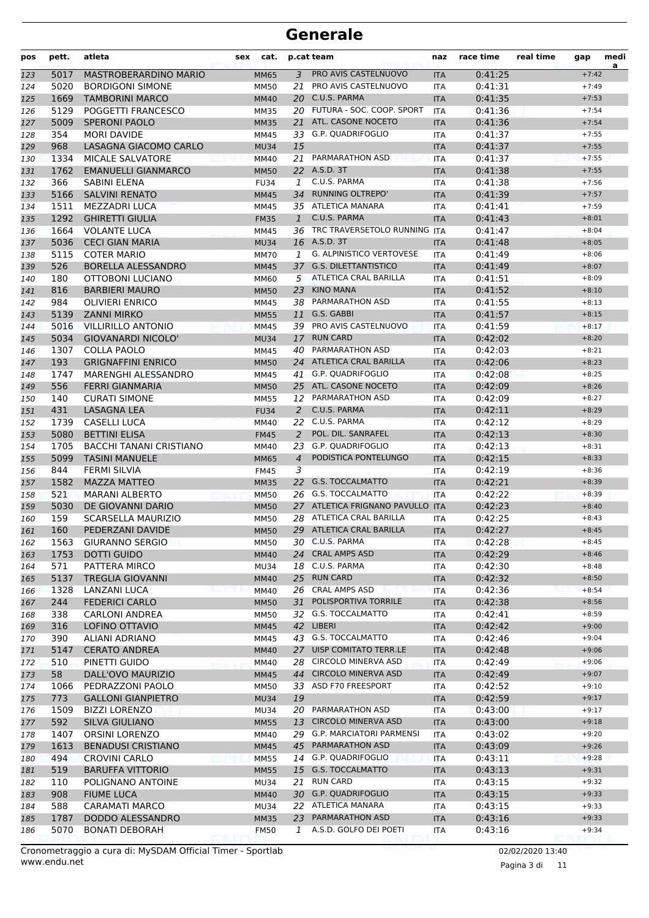| pos | pett. | atleta                         | sex | cat.        |                | p.cat team                      | naz        | race time | real time | gap     | medi<br>a |
|-----|-------|--------------------------------|-----|-------------|----------------|---------------------------------|------------|-----------|-----------|---------|-----------|
| 123 | 5017  | <b>MASTROBERARDINO MARIO</b>   |     | <b>MM65</b> |                | 3 PRO AVIS CASTELNUOVO          | <b>ITA</b> | 0:41:25   |           | $+7:42$ |           |
| 124 | 5020  | <b>BORDIGONI SIMONE</b>        |     | <b>MM50</b> | 21             | PRO AVIS CASTELNUOVO            | ITA        | 0:41:31   |           | $+7:49$ |           |
| 125 | 1669  | <b>TAMBORINI MARCO</b>         |     | <b>MM40</b> | 20             | C.U.S. PARMA                    | <b>ITA</b> | 0:41:35   |           | $+7:53$ |           |
| 126 | 5129  | POGGETTI FRANCESCO             |     | <b>MM35</b> |                | 20 FUTURA - SOC. COOP. SPORT    | <b>ITA</b> | 0:41:36   |           | $+7:54$ |           |
| 127 | 5009  | <b>SPERONI PAOLO</b>           |     | <b>MM35</b> | 21             | ATL. CASONE NOCETO              | <b>ITA</b> | 0:41:36   |           | $+7:54$ |           |
| 128 | 354   | <b>MORI DAVIDE</b>             |     | MM45        |                | 33 G.P. QUADRIFOGLIO            | <b>ITA</b> | 0:41:37   |           | $+7:55$ |           |
| 129 | 968   | LASAGNA GIACOMO CARLO          |     | <b>MU34</b> | 15             |                                 | <b>ITA</b> | 0:41:37   |           | $+7:55$ |           |
| 130 | 1334  | MICALE SALVATORE               |     | <b>MM40</b> | 21             | PARMARATHON ASD                 | <b>ITA</b> | 0:41:37   |           | $+7:55$ |           |
| 131 | 1762  | <b>EMANUELLI GIANMARCO</b>     |     | <b>MM50</b> |                | 22 A.S.D. 3T                    | <b>ITA</b> | 0:41:38   |           | $+7:55$ |           |
| 132 | 366   | SABINI ELENA                   |     | <b>FU34</b> | 1              | C.U.S. PARMA                    | <b>ITA</b> | 0:41:38   |           | $+7:56$ |           |
| 133 | 5166  | <b>SALVINI RENATO</b>          |     | <b>MM45</b> | 34             | <b>RUNNING OLTREPO'</b>         | <b>ITA</b> | 0:41:39   |           | $+7:57$ |           |
| 134 | 1511  | <b>MEZZADRI LUCA</b>           |     | MM45        |                | 35 ATLETICA MANARA              | <b>ITA</b> | 0:41:41   |           | $+7:59$ |           |
| 135 | 1292  | <b>GHIRETTI GIULIA</b>         |     | <b>FM35</b> | $\mathbf{1}$   | C.U.S. PARMA                    | <b>ITA</b> | 0:41:43   |           | $+8:01$ |           |
| 136 | 1664  | <b>VOLANTE LUCA</b>            |     | <b>MM45</b> | 36             | TRC TRAVERSETOLO RUNNING ITA    |            | 0:41:47   |           | $+8:04$ |           |
| 137 | 5036  | <b>CECI GIAN MARIA</b>         |     | <b>MU34</b> |                | 16 A.S.D. 3T                    | <b>ITA</b> | 0:41:48   |           | $+8:05$ |           |
| 138 | 5115  | <b>COTER MARIO</b>             |     | <b>MM70</b> | 1              | <b>G. ALPINISTICO VERTOVESE</b> | <b>ITA</b> | 0:41:49   |           | $+8:06$ |           |
| 139 | 526   | <b>BORELLA ALESSANDRO</b>      |     | <b>MM45</b> |                | 37 G.S. DILETTANTISTICO         | <b>ITA</b> | 0:41:49   |           | $+8:07$ |           |
| 140 | 180   | OTTOBONI LUCIANO               |     | MM60        |                | 5 ATLETICA CRAL BARILLA         | <b>ITA</b> | 0:41:51   |           | $+8:09$ |           |
| 141 | 816   | <b>BARBIERI MAURO</b>          |     | <b>MM50</b> |                | 23 KINO MANA                    | <b>ITA</b> | 0:41:52   |           | $+8:10$ |           |
| 142 | 984   | <b>OLIVIERI ENRICO</b>         |     | <b>MM45</b> |                | 38 PARMARATHON ASD              | <b>ITA</b> | 0:41:55   |           | $+8:13$ |           |
| 143 | 5139  | <b>ZANNI MIRKO</b>             |     | <b>MM55</b> | 11             | G.S. GABBI                      | <b>ITA</b> | 0:41:57   |           | $+8:15$ |           |
| 144 | 5016  | <b>VILLIRILLO ANTONIO</b>      |     | <b>MM45</b> | 39             | PRO AVIS CASTELNUOVO            | <b>ITA</b> | 0:41:59   |           | $+8:17$ |           |
| 145 | 5034  | <b>GIOVANARDI NICOLO'</b>      |     | <b>MU34</b> |                | 17 RUN CARD                     | <b>ITA</b> | 0:42:02   |           | $+8:20$ |           |
| 146 | 1307  | <b>COLLA PAOLO</b>             |     | MM45        | 40             | PARMARATHON ASD                 | <b>ITA</b> | 0:42:03   |           | $+8:21$ |           |
| 147 | 193   | <b>GRIGNAFFINI ENRICO</b>      |     | <b>MM50</b> |                | 24 ATLETICA CRAL BARILLA        | <b>ITA</b> | 0:42:06   |           | $+8:23$ |           |
| 148 | 1747  | MARENGHI ALESSANDRO            |     | MM45        |                | 41 G.P. QUADRIFOGLIO            | ITA        | 0:42:08   |           | $+8:25$ |           |
| 149 | 556   | <b>FERRI GIANMARIA</b>         |     | <b>MM50</b> |                | 25 ATL. CASONE NOCETO           | <b>ITA</b> | 0:42:09   |           | $+8:26$ |           |
| 150 | 140   | <b>CURATI SIMONE</b>           |     | <b>MM55</b> | 12             | PARMARATHON ASD                 | <b>ITA</b> | 0:42:09   |           | $+8:27$ |           |
| 151 | 431   | LASAGNA LEA                    |     | <b>FU34</b> | 2              | C.U.S. PARMA                    | <b>ITA</b> | 0:42:11   |           | $+8:29$ |           |
| 152 | 1739  | CASELLI LUCA                   |     | MM40        |                | 22 C.U.S. PARMA                 | <b>ITA</b> | 0:42:12   |           | $+8:29$ |           |
| 153 | 5080  | <b>BETTINI ELISA</b>           |     | <b>FM45</b> | 2              | POL. DIL. SANRAFEL              | <b>ITA</b> | 0:42:13   |           | $+8:30$ |           |
| 154 | 1705  | <b>BACCHI TANANI CRISTIANO</b> |     | MM40        | 23             | <b>G.P. QUADRIFOGLIO</b>        | <b>ITA</b> | 0:42:13   |           | $+8:31$ |           |
| 155 | 5099  | <b>TASINI MANUELE</b>          |     | <b>MM65</b> | $\overline{4}$ | PODISTICA PONTELUNGO            | <b>ITA</b> | 0:42:15   |           | $+8:33$ |           |
| 156 | 844   | <b>FERMI SILVIA</b>            |     | <b>FM45</b> | 3              |                                 | <b>ITA</b> | 0:42:19   |           | $+8:36$ |           |
| 157 | 1582  | <b>MAZZA MATTEO</b>            |     | <b>MM35</b> | 22             | <b>G.S. TOCCALMATTO</b>         | <b>ITA</b> | 0:42:21   |           | $+8:39$ |           |
| 158 | 521   | <b>MARANI ALBERTO</b>          |     | <b>MM50</b> |                | 26 G.S. TOCCALMATTO             | <b>ITA</b> | 0:42:22   |           | $+8:39$ |           |
| 159 | 5030  | DE GIOVANNI DARIO              |     | <b>MM50</b> |                | 27 ATLETICA FRIGNANO PAVULLO    | <b>ITA</b> | 0:42:23   |           | $+8:40$ |           |
| 160 | 159   | <b>SCARSELLA MAURIZIO</b>      |     | <b>MM50</b> | 28             | ATLETICA CRAL BARILLA           | ITA        | 0:42:25   |           | $+8:43$ |           |
| 161 | 160   | PEDERZANI DAVIDE               |     | <b>MM50</b> |                | 29 ATLETICA CRAL BARILLA        | <b>ITA</b> | 0:42:27   |           | $+8:45$ |           |
| 162 | 1563  | <b>GIURANNO SERGIO</b>         |     | <b>MM50</b> |                | 30 C.U.S. PARMA                 | ITA        | 0:42:28   |           | $+8:45$ |           |
| 163 | 1753  | <b>DOTTI GUIDO</b>             |     | <b>MM40</b> |                | 24 CRAL AMPS ASD                | <b>ITA</b> | 0:42:29   |           | $+8:46$ |           |
| 164 | 571   | PATTERA MIRCO                  |     | <b>MU34</b> |                | 18 C.U.S. PARMA                 | ITA        | 0:42:30   |           | $+8:48$ |           |
| 165 | 5137  | <b>TREGLIA GIOVANNI</b>        |     | <b>MM40</b> |                | 25 RUN CARD                     | <b>ITA</b> | 0:42:32   |           | $+8:50$ |           |
| 166 | 1328  | <b>LANZANI LUCA</b>            |     | <b>MM40</b> |                | 26 CRAL AMPS ASD                | ITA        | 0:42:36   |           | $+8:54$ |           |
| 167 | 244   | <b>FEDERICI CARLO</b>          |     | <b>MM50</b> | 31             | POLISPORTIVA TORRILE            | <b>ITA</b> | 0:42:38   |           | $+8:56$ |           |
| 168 | 338   | <b>CARLONI ANDREA</b>          |     | <b>MM50</b> |                | 32 G.S. TOCCALMATTO             | ITA        | 0:42:41   |           | $+8:59$ |           |
| 169 | 316   | LOFINO OTTAVIO                 |     | <b>MM45</b> |                | 42 LIBERI                       | <b>ITA</b> | 0:42:42   |           | $+9:00$ |           |
| 170 | 390   | ALIANI ADRIANO                 |     | MM45        |                | 43 G.S. TOCCALMATTO             | ITA        | 0:42:46   |           | $+9:04$ |           |
| 171 | 5147  | <b>CERATO ANDREA</b>           |     | <b>MM40</b> |                | 27 UISP COMITATO TERR.LE        | <b>ITA</b> | 0:42:48   |           | $+9:06$ |           |
| 172 | 510   | PINETTI GUIDO                  |     | <b>MM40</b> |                | 28 CIRCOLO MINERVA ASD          | ITA        | 0:42:49   |           | $+9:06$ |           |
| 173 | 58    | DALL'OVO MAURIZIO              |     | <b>MM45</b> | 44             | <b>CIRCOLO MINERVA ASD</b>      | <b>ITA</b> | 0:42:49   |           | $+9:07$ |           |
| 174 | 1066  | PEDRAZZONI PAOLO               |     | <b>MM50</b> | 33             | ASD F70 FREESPORT               | <b>ITA</b> | 0:42:52   |           | $+9:10$ |           |
| 175 | 773   | <b>GALLONI GIANPIETRO</b>      |     | <b>MU34</b> | 19             |                                 | <b>ITA</b> | 0:42:59   |           | $+9:17$ |           |
| 176 | 1509  | <b>BIZZI LORENZO</b>           |     | <b>MU34</b> | 20             | PARMARATHON ASD                 | ITA        | 0:43:00   |           | $+9:17$ |           |
| 177 | 592   | SILVA GIULIANO                 |     | <b>MM55</b> |                | 13 CIRCOLO MINERVA ASD          | <b>ITA</b> | 0:43:00   |           | $+9:18$ |           |
| 178 | 1407  | ORSINI LORENZO                 |     | MM40        |                | 29 G.P. MARCIATORI PARMENSI     | ITA        | 0:43:02   |           | $+9:20$ |           |
| 179 | 1613  | <b>BENADUSI CRISTIANO</b>      |     | <b>MM45</b> |                | 45 PARMARATHON ASD              | <b>ITA</b> | 0:43:09   |           | $+9:26$ |           |
| 180 | 494   | <b>CROVINI CARLO</b>           |     | <b>MM55</b> |                | 14 G.P. QUADRIFOGLIO            | ITA        | 0:43:11   |           | $+9:28$ |           |
| 181 | 519   | <b>BARUFFA VITTORIO</b>        |     | <b>MM55</b> |                | 15 G.S. TOCCALMATTO             | <b>ITA</b> | 0:43:13   |           | $+9:31$ |           |
| 182 | 110   | POLIGNANO ANTOINE              |     | MU34        | 21             | <b>RUN CARD</b>                 | ITA        | 0:43:15   |           | $+9:32$ |           |
| 183 | 908   | <b>FIUME LUCA</b>              |     | <b>MM40</b> |                | 30 G.P. QUADRIFOGLIO            | <b>ITA</b> | 0:43:15   |           | $+9:33$ |           |
| 184 | 588   | <b>CARAMATI MARCO</b>          |     | <b>MU34</b> |                | 22 ATLETICA MANARA              | ITA        | 0:43:15   |           | $+9:33$ |           |
| 185 | 1787  | DODDO ALESSANDRO               |     | <b>MM35</b> |                | 23 PARMARATHON ASD              | <b>ITA</b> | 0:43:16   |           | $+9:33$ |           |
| 186 | 5070  | <b>BONATI DEBORAH</b>          |     | <b>FM50</b> | 1              | A.S.D. GOLFO DEI POETI          | ITA        | 0:43:16   |           | $+9:34$ |           |

www.endu.net Cronometraggio a cura di: MySDAM Official Timer - Sportlab 02/02/2020 13:40

Pagina 3 di 11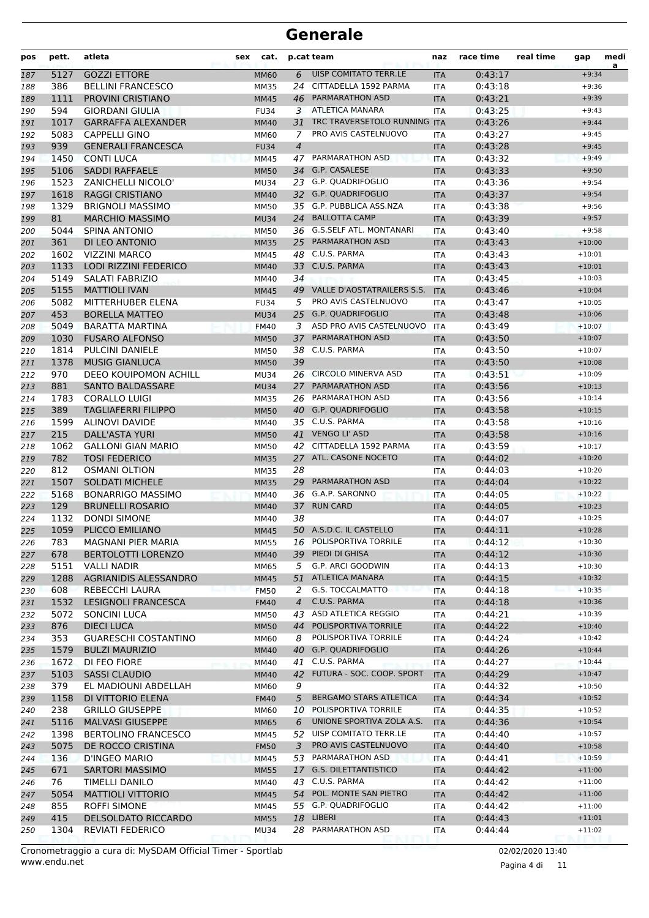| pos        | pett.        | atleta                                            | <b>sex</b><br>cat.         |                | p.cat team                                       | naz                      | race time          | real time | gap                  | medi<br>a |
|------------|--------------|---------------------------------------------------|----------------------------|----------------|--------------------------------------------------|--------------------------|--------------------|-----------|----------------------|-----------|
| 187        | 5127         | <b>GOZZI ETTORE</b>                               | <b>MM60</b>                | 6              | UISP COMITATO TERR.LE                            | <b>ITA</b>               | 0:43:17            |           | $+9:34$              |           |
| 188        | 386          | <b>BELLINI FRANCESCO</b>                          | MM35                       | 24             | CITTADELLA 1592 PARMA                            | ITA                      | 0:43:18            |           | $+9:36$              |           |
| 189        | 1111         | PROVINI CRISTIANO                                 | <b>MM45</b>                | 46             | <b>PARMARATHON ASD</b>                           | <b>ITA</b>               | 0:43:21            |           | $+9:39$              |           |
| 190        | 594          | <b>GIORDANI GIULIA</b>                            | <b>FU34</b>                | 3              | <b>ATLETICA MANARA</b>                           | ITA                      | 0:43:25            |           | $+9:43$              |           |
| 191        | 1017         | <b>GARRAFFA ALEXANDER</b>                         | <b>MM40</b>                | 31             | TRC TRAVERSETOLO RUNNING ITA                     |                          | 0:43:26            |           | $+9:44$              |           |
| 192        | 5083         | <b>CAPPELLI GINO</b>                              | MM60                       | 7              | PRO AVIS CASTELNUOVO                             | <b>ITA</b>               | 0:43:27            |           | $+9:45$              |           |
| 193        | 939          | <b>GENERALI FRANCESCA</b>                         | <b>FU34</b>                | $\overline{4}$ |                                                  | <b>ITA</b>               | 0:43:28            |           | $+9:45$              |           |
| 194        | 1450         | <b>CONTI LUCA</b>                                 | MM45                       |                | 47 PARMARATHON ASD                               | <b>ITA</b>               | 0:43:32            |           | $+9:49$              |           |
| 195        | 5106         | <b>SADDI RAFFAELE</b>                             | <b>MM50</b>                |                | 34 G.P. CASALESE                                 | <b>ITA</b>               | 0:43:33            |           | $+9:50$              |           |
| 196        | 1523         | <b>ZANICHELLI NICOLO'</b>                         | <b>MU34</b>                | 23             | <b>G.P. OUADRIFOGLIO</b>                         | ITA                      | 0:43:36            |           | $+9:54$              |           |
| 197        | 1618         | <b>RAGGI CRISTIANO</b>                            | <b>MM40</b>                |                | 32 G.P. QUADRIFOGLIO<br>35 G.P. PUBBLICA ASS.NZA | <b>ITA</b>               | 0:43:37            |           | $+9:54$              |           |
| 198        | 1329<br>81   | <b>BRIGNOLI MASSIMO</b><br><b>MARCHIO MASSIMO</b> | <b>MM50</b>                |                | 24 BALLOTTA CAMP                                 | <b>ITA</b>               | 0:43:38<br>0:43:39 |           | $+9:56$<br>$+9:57$   |           |
| 199        | 5044         | <b>SPINA ANTONIO</b>                              | <b>MU34</b>                |                | 36 G.S.SELF ATL. MONTANARI                       | <b>ITA</b>               | 0:43:40            |           | $+9:58$              |           |
| 200        | 361          | DI LEO ANTONIO                                    | <b>MM50</b><br><b>MM35</b> |                | 25 PARMARATHON ASD                               | ITA                      | 0:43:43            |           | $+10:00$             |           |
| 201<br>202 | 1602         | <b>VIZZINI MARCO</b>                              | MM45                       | 48             | C.U.S. PARMA                                     | <b>ITA</b><br><b>ITA</b> | 0:43:43            |           | $+10:01$             |           |
| 203        | 1133         | <b>LODI RIZZINI FEDERICO</b>                      | <b>MM40</b>                |                | 33 C.U.S. PARMA                                  | <b>ITA</b>               | 0:43:43            |           | $+10:01$             |           |
| 204        | 5149         | <b>SALATI FABRIZIO</b>                            | MM40                       | 34             |                                                  | <b>ITA</b>               | 0:43:45            |           | $+10:03$             |           |
| 205        | 5155         | <b>MATTIOLI IVAN</b>                              | <b>MM45</b>                | 49             | VALLE D'AOSTATRAILERS S.S.                       | <b>ITA</b>               | 0:43:46            |           | $+10:04$             |           |
| 206        | 5082         | MITTERHUBER ELENA                                 | <b>FU34</b>                | 5              | PRO AVIS CASTELNUOVO                             | ITA                      | 0:43:47            |           | $+10:05$             |           |
| 207        | 453          | <b>BORELLA MATTEO</b>                             | <b>MU34</b>                |                | 25 G.P. QUADRIFOGLIO                             | <b>ITA</b>               | 0:43:48            |           | $+10:06$             |           |
| 208        | 5049         | <b>BARATTA MARTINA</b>                            | <b>FM40</b>                | 3              | ASD PRO AVIS CASTELNUOVO                         | <b>ITA</b>               | 0:43:49            |           | $+10:07$             |           |
| 209        | 1030         | <b>FUSARO ALFONSO</b>                             | <b>MM50</b>                | 37             | <b>PARMARATHON ASD</b>                           | <b>ITA</b>               | 0:43:50            |           | $+10:07$             |           |
| 210        | 1814         | <b>PULCINI DANIELE</b>                            | <b>MM50</b>                | 38             | C.U.S. PARMA                                     | ITA                      | 0:43:50            |           | $+10:07$             |           |
| 211        | 1378         | <b>MUSIG GIANLUCA</b>                             | <b>MM50</b>                | 39             |                                                  | <b>ITA</b>               | 0:43:50            |           | $+10:08$             |           |
| 212        | 970          | DEEO KOUIPOMON ACHILL                             | <b>MU34</b>                |                | 26 CIRCOLO MINERVA ASD                           | ITA                      | 0:43:51            |           | $+10:09$             |           |
| 213        | 881          | <b>SANTO BALDASSARE</b>                           | <b>MU34</b>                |                | 27 PARMARATHON ASD                               | <b>ITA</b>               | 0:43:56            |           | $+10:13$             |           |
| 214        | 1783         | <b>CORALLO LUIGI</b>                              | <b>MM35</b>                | 26             | PARMARATHON ASD                                  | ITA                      | 0:43:56            |           | $+10:14$             |           |
| 215        | 389          | <b>TAGLIAFERRI FILIPPO</b>                        | <b>MM50</b>                |                | 40 G.P. QUADRIFOGLIO                             | <b>ITA</b>               | 0:43:58            |           | $+10:15$             |           |
| 216        | 1599         | ALINOVI DAVIDE                                    | MM40                       |                | 35 C.U.S. PARMA                                  | <b>ITA</b>               | 0:43:58            |           | $+10:16$             |           |
| 217        | 215          | <b>DALL'ASTA YURI</b>                             | <b>MM50</b>                | 41             | VENGO LI' ASD                                    | <b>ITA</b>               | 0:43:58            |           | $+10:16$             |           |
| 218        | 1062         | <b>GALLONI GIAN MARIO</b>                         | <b>MM50</b>                |                | 42 CITTADELLA 1592 PARMA                         | ITA                      | 0:43:59            |           | $+10:17$             |           |
| 219        | 782          | <b>TOSI FEDERICO</b>                              | <b>MM35</b>                |                | 27 ATL. CASONE NOCETO                            | <b>ITA</b>               | 0:44:02            |           | $+10:20$             |           |
| 220        | 812          | <b>OSMANI OLTION</b>                              | <b>MM35</b>                | 28             |                                                  | ITA                      | 0:44:03            |           | $+10:20$             |           |
| 221        | 1507         | <b>SOLDATI MICHELE</b>                            | <b>MM35</b>                | 29             | <b>PARMARATHON ASD</b>                           | <b>ITA</b>               | 0:44:04            |           | $+10:22$             |           |
| 222        | 5168         | <b>BONARRIGO MASSIMO</b>                          | <b>MM40</b>                | 36             | G.A.P. SARONNO                                   | <b>ITA</b>               | 0:44:05            |           | $+10:22$             |           |
| 223        | 129          | <b>BRUNELLI ROSARIO</b>                           | <b>MM40</b>                | 37             | <b>RUN CARD</b>                                  | <b>ITA</b>               | 0:44:05            |           | $+10:23$             |           |
| 224        | 1132         | <b>DONDI SIMONE</b>                               | MM40                       | 38             |                                                  | <b>ITA</b>               | 0:44:07            |           | $+10:25$             |           |
| 225        | 1059         | PLICCO EMILIANO                                   | <b>MM45</b>                |                | 50 A.S.D.C. IL CASTELLO                          | <b>ITA</b>               | 0:44:11            |           | $+10:28$             |           |
| 226        | 783          | MAGNANI PIER MARIA                                | <b>MM55</b>                | 16             | POLISPORTIVA TORRILE                             | <b>ITA</b>               | 0:44:12            |           | $+10:30$             |           |
| 227        | 678          | <b>BERTOLOTTI LORENZO</b>                         | <b>MM40</b>                |                | 39 PIEDI DI GHISA                                | <b>ITA</b>               | 0:44:12            |           | $+10:30$             |           |
| 228        | 5151         | <b>VALLI NADIR</b>                                | MM65                       | 5              | G.P. ARCI GOODWIN                                | ITA                      | 0:44:13            |           | $+10:30$             |           |
| 229        | 1288         | AGRIANIDIS ALESSANDRO                             | <b>MM45</b>                |                | 51 ATLETICA MANARA                               | <b>ITA</b>               | 0:44:15            |           | $+10:32$             |           |
| 230        | 608          | REBECCHI LAURA                                    | <b>FM50</b>                | 2              | G.S. TOCCALMATTO                                 | ITA                      | 0:44:18            |           | $+10:35$             |           |
| 231        | 1532         | LESIGNOLI FRANCESCA                               | <b>FM40</b>                | $\overline{4}$ | C.U.S. PARMA                                     | <b>ITA</b>               | 0:44:18            |           | $+10:36$             |           |
| 232        | 5072         | <b>SONCINI LUCA</b>                               | MM50                       | 43             | ASD ATLETICA REGGIO                              | <b>ITA</b>               | 0:44:21            |           | $+10:39$             |           |
| 233        | 876          | <b>DIECI LUCA</b>                                 | <b>MM50</b>                | 44             | POLISPORTIVA TORRILE                             | <b>ITA</b>               | 0:44:22            |           | $+10:40$             |           |
| 234        | 353          | <b>GUARESCHI COSTANTINO</b>                       | MM60                       | 8              | POLISPORTIVA TORRILE                             | ITA                      | 0:44:24            |           | $+10:42$             |           |
| 235        | 1579         | <b>BULZI MAURIZIO</b>                             | <b>MM40</b>                |                | 40 G.P. QUADRIFOGLIO<br>41 C.U.S. PARMA          | <b>ITA</b>               | 0:44:26            |           | $+10:44$             |           |
| 236        | 1672<br>5103 | DI FEO FIORE<br><b>SASSI CLAUDIO</b>              | MM40                       | 42             | FUTURA - SOC. COOP. SPORT                        | ITA                      | 0:44:27            |           | $+10:44$<br>$+10:47$ |           |
| 237        | 379          | EL MADIOUNI ABDELLAH                              | <b>MM40</b>                | 9              |                                                  | <b>ITA</b>               | 0:44:29<br>0:44:32 |           | $+10:50$             |           |
| 238        | 1158         | DI VITTORIO ELENA                                 | <b>MM60</b><br><b>FM40</b> | 5              | BERGAMO STARS ATLETICA                           | ITA<br><b>ITA</b>        | 0:44:34            |           | $+10:52$             |           |
| 239<br>240 | 238          | <b>GRILLO GIUSEPPE</b>                            | MM60                       | 10             | POLISPORTIVA TORRILE                             | ITA                      | 0:44:35            |           | $+10:52$             |           |
|            | 5116         | <b>MALVASI GIUSEPPE</b>                           | <b>MM65</b>                | 6              | UNIONE SPORTIVA ZOLA A.S.                        | <b>ITA</b>               | 0:44:36            |           | $+10:54$             |           |
| 241<br>242 | 1398         | <b>BERTOLINO FRANCESCO</b>                        | MM45                       |                | 52 UISP COMITATO TERR.LE                         | ITA                      | 0:44:40            |           | $+10:57$             |           |
|            | 5075         | DE ROCCO CRISTINA                                 | <b>FM50</b>                | 3              | PRO AVIS CASTELNUOVO                             | <b>ITA</b>               | 0:44:40            |           | $+10:58$             |           |
| 243<br>244 | 136          | D'INGEO MARIO                                     | <b>MM45</b>                | 53             | PARMARATHON ASD                                  | ITA                      | 0:44:41            |           | $+10:59$             |           |
| 245        | 671          | SARTORI MASSIMO                                   | <b>MM55</b>                |                | 17 G.S. DILETTANTISTICO                          | <b>ITA</b>               | 0:44:42            |           | $+11:00$             |           |
| 246        | 76           | TIMELLI DANILO                                    | MM40                       |                | 43 C.U.S. PARMA                                  | ITA                      | 0:44:42            |           | $+11:00$             |           |
| 247        | 5054         | <b>MATTIOLI VITTORIO</b>                          | <b>MM45</b>                |                | 54 POL. MONTE SAN PIETRO                         | <b>ITA</b>               | 0:44:42            |           | $+11:00$             |           |
| 248        | 855          | <b>ROFFI SIMONE</b>                               | MM45                       |                | 55 G.P. QUADRIFOGLIO                             | <b>ITA</b>               | 0:44:42            |           | $+11:00$             |           |
| 249        | 415          | <b>DELSOLDATO RICCARDO</b>                        | <b>MM55</b>                |                | 18 LIBERI                                        | <b>ITA</b>               | 0:44:43            |           | $+11:01$             |           |
| 250        | 1304         | <b>REVIATI FEDERICO</b>                           | <b>MU34</b>                |                | 28 PARMARATHON ASD                               | ITA                      | 0:44:44            |           | $+11:02$             |           |
|            |              |                                                   |                            |                |                                                  |                          |                    |           |                      |           |

www.endu.net Cronometraggio a cura di: MySDAM Official Timer - Sportlab 02/02/2020 13:40

Pagina 4 di 11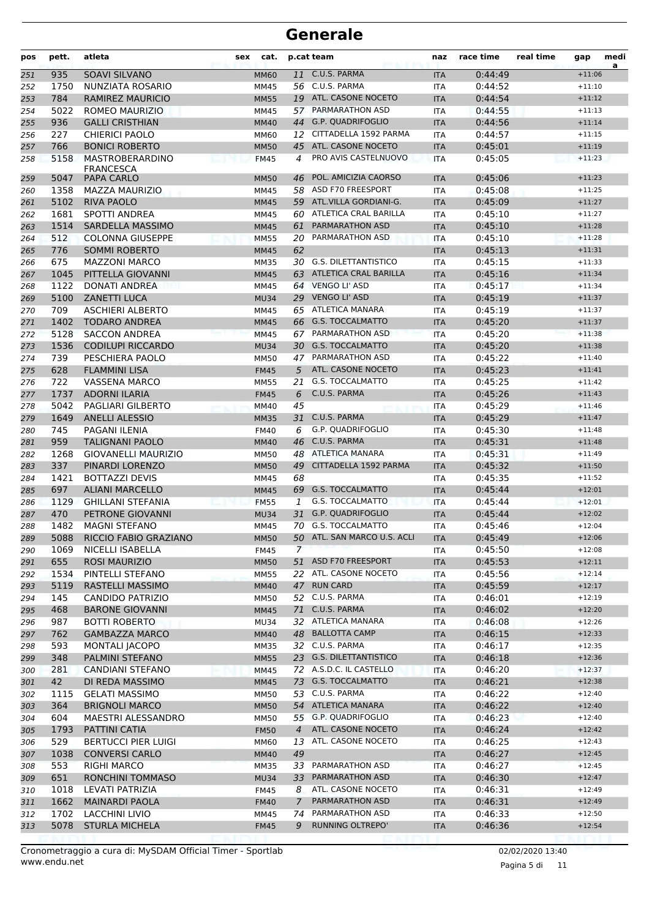| pos        | pett.        | atleta                                           | <b>sex</b> | cat.                       |                | p.cat team                  | naz                      | race time          | real time | gap                  | medi |
|------------|--------------|--------------------------------------------------|------------|----------------------------|----------------|-----------------------------|--------------------------|--------------------|-----------|----------------------|------|
| 251        | 935          | <b>SOAVI SILVANO</b>                             |            | <b>MM60</b>                | 11             | C.U.S. PARMA                | <b>ITA</b>               | 0:44:49            |           | $+11:06$             | a    |
| 252        | 1750         | NUNZIATA ROSARIO                                 |            | MM45                       |                | 56 C.U.S. PARMA             | <b>ITA</b>               | 0:44:52            |           | $+11:10$             |      |
| 253        | 784          | <b>RAMIREZ MAURICIO</b>                          |            | <b>MM55</b>                |                | 19 ATL. CASONE NOCETO       | <b>ITA</b>               | 0:44:54            |           | $+11:12$             |      |
| 254        | 5022         | <b>ROMEO MAURIZIO</b>                            |            | MM45                       |                | 57 PARMARATHON ASD          | <b>ITA</b>               | 0:44:55            |           | $+11:13$             |      |
| 255        | 936          | <b>GALLI CRISTHIAN</b>                           |            | <b>MM40</b>                | 44             | G.P. QUADRIFOGLIO           | <b>ITA</b>               | 0:44:56            |           | $+11:14$             |      |
| 256        | 227          | <b>CHIERICI PAOLO</b>                            |            | <b>MM60</b>                | 12             | CITTADELLA 1592 PARMA       | <b>ITA</b>               | 0:44:57            |           | $+11:15$             |      |
| 257        | 766          | <b>BONICI ROBERTO</b>                            |            | <b>MM50</b>                | 45             | ATL. CASONE NOCETO          | <b>ITA</b>               | 0:45:01            |           | $+11:19$             |      |
| 258        | 5158         | <b>MASTROBERARDINO</b><br><b>FRANCESCA</b>       |            | <b>FM45</b>                | 4              | PRO AVIS CASTELNUOVO        | <b>ITA</b>               | 0:45:05            |           | $+11:23$             |      |
| 259        | 5047         | PAPA CARLO                                       |            | <b>MM50</b>                | 46             | POL. AMICIZIA CAORSO        | <b>ITA</b>               | 0:45:06            |           | $+11:23$             |      |
| 260        | 1358         | MAZZA MAURIZIO                                   |            | MM45                       |                | 58 ASD F70 FREESPORT        | <b>ITA</b>               | 0:45:08            |           | $+11:25$             |      |
| 261        | 5102         | <b>RIVA PAOLO</b>                                |            | <b>MM45</b>                |                | 59 ATL.VILLA GORDIANI-G.    | <b>ITA</b>               | 0:45:09            |           | $+11:27$             |      |
| 262        | 1681         | SPOTTI ANDREA                                    |            | MM45                       |                | 60 ATLETICA CRAL BARILLA    | <b>ITA</b>               | 0:45:10            |           | $+11:27$             |      |
| 263        | 1514         | <b>SARDELLA MASSIMO</b>                          |            | <b>MM45</b>                | 61             | PARMARATHON ASD             | <b>ITA</b>               | 0:45:10            |           | $+11:28$             |      |
| 264        | 512          | <b>COLONNA GIUSEPPE</b>                          |            | <b>MM55</b>                | 20             | PARMARATHON ASD             | <b>ITA</b>               | 0:45:10            |           | $+11:28$             |      |
| 265        | 776          | <b>SOMMI ROBERTO</b>                             |            | <b>MM45</b>                | 62             |                             | <b>ITA</b>               | 0:45:13            |           | $+11:31$             |      |
| 266        | 675          | <b>MAZZONI MARCO</b>                             |            | <b>MM35</b>                |                | 30 G.S. DILETTANTISTICO     | <b>ITA</b>               | 0:45:15            |           | $+11:33$             |      |
| 267        | 1045         | PITTELLA GIOVANNI                                |            | <b>MM45</b>                |                | 63 ATLETICA CRAL BARILLA    | <b>ITA</b>               | 0:45:16            |           | $+11:34$             |      |
| 268        | 1122         | <b>DONATI ANDREA</b>                             |            | MM45                       |                | 64 VENGO LI' ASD            | <b>ITA</b>               | 0:45:17            |           | $+11:34$             |      |
| 269        | 5100         | <b>ZANETTI LUCA</b>                              |            | <b>MU34</b>                |                | 29 VENGO LI' ASD            | <b>ITA</b>               | 0:45:19            |           | $+11:37$             |      |
| 270        | 709          | <b>ASCHIERI ALBERTO</b>                          |            | MM45                       |                | 65 ATLETICA MANARA          | <b>ITA</b>               | 0:45:19            |           | $+11:37$             |      |
| 271        | 1402         | <b>TODARO ANDREA</b>                             |            | <b>MM45</b>                |                | 66 G.S. TOCCALMATTO         | <b>ITA</b>               | 0:45:20            |           | $+11:37$             |      |
| 272        | 5128         | <b>SACCON ANDREA</b>                             |            | <b>MM45</b>                | 67             | PARMARATHON ASD             | <b>ITA</b>               | 0:45:20            |           | $+11:38$             |      |
| 273        | 1536         | <b>CODILUPI RICCARDO</b>                         |            | <b>MU34</b>                |                | 30 G.S. TOCCALMATTO         | <b>ITA</b>               | 0:45:20            |           | $+11:38$             |      |
| 274        | 739          | PESCHIERA PAOLO                                  |            | <b>MM50</b>                | 47             | PARMARATHON ASD             | <b>ITA</b>               | 0:45:22            |           | $+11:40$             |      |
| 275        | 628          | <b>FLAMMINI LISA</b>                             |            | <b>FM45</b>                | 5              | ATL. CASONE NOCETO          | <b>ITA</b>               | 0:45:23            |           | $+11:41$             |      |
| 276        | 722          | <b>VASSENA MARCO</b>                             |            | <b>MM55</b>                | 21             | <b>G.S. TOCCALMATTO</b>     | <b>ITA</b>               | 0:45:25            |           | $+11:42$             |      |
| 277        | 1737<br>5042 | <b>ADORNI ILARIA</b><br><b>PAGLIARI GILBERTO</b> |            | <b>FM45</b>                | 6<br>45        | C.U.S. PARMA                | <b>ITA</b>               | 0:45:26            |           | $+11:43$             |      |
| 278        | 1649         | <b>ANELLI ALESSIO</b>                            |            | <b>MM40</b>                |                | 31 C.U.S. PARMA             | <b>ITA</b><br><b>ITA</b> | 0:45:29<br>0:45:29 |           | $+11:46$<br>$+11:47$ |      |
| 279<br>280 | 745          | PAGANI ILENIA                                    |            | <b>MM35</b><br><b>FM40</b> | 6              | <b>G.P. QUADRIFOGLIO</b>    | <b>ITA</b>               | 0:45:30            |           | $+11:48$             |      |
| 281        | 959          | <b>TALIGNANI PAOLO</b>                           |            | <b>MM40</b>                | 46             | C.U.S. PARMA                | <b>ITA</b>               | 0:45:31            |           | $+11:48$             |      |
| 282        | 1268         | <b>GIOVANELLI MAURIZIO</b>                       |            | <b>MM50</b>                | 48             | ATLETICA MANARA             | <b>ITA</b>               | 0:45:31            |           | $+11:49$             |      |
| 283        | 337          | PINARDI LORENZO                                  |            | <b>MM50</b>                | 49             | CITTADELLA 1592 PARMA       | <b>ITA</b>               | 0:45:32            |           | $+11:50$             |      |
| 284        | 1421         | <b>BOTTAZZI DEVIS</b>                            |            | MM45                       | 68             |                             | <b>ITA</b>               | 0:45:35            |           | $+11:52$             |      |
| 285        | 697          | <b>ALIANI MARCELLO</b>                           |            | <b>MM45</b>                | 69             | <b>G.S. TOCCALMATTO</b>     | <b>ITA</b>               | 0:45:44            |           | $+12:01$             |      |
| 286        | 1129         | <b>GHILLANI STEFANIA</b>                         |            | <b>FM55</b>                | 1              | <b>G.S. TOCCALMATTO</b>     | <b>ITA</b>               | 0:45:44            |           | $+12:01$             |      |
| 287        | 470          | PETRONE GIOVANNI                                 |            | <b>MU34</b>                | 31             | <b>G.P. QUADRIFOGLIO</b>    | <b>ITA</b>               | 0:45:44            |           | $+12:02$             |      |
| 288        | 1482         | <b>MAGNI STEFANO</b>                             |            | MM45                       |                | 70 G.S. TOCCALMATTO         | <b>ITA</b>               | 0:45:46            |           | $+12:04$             |      |
| 289        | 5088         | RICCIO FABIO GRAZIANO                            |            | <b>MM50</b>                |                | 50 ATL. SAN MARCO U.S. ACLI | <b>ITA</b>               | 0:45:49            |           | $+12:06$             |      |
| 290        | 1069         | NICELLI ISABELLA                                 |            | FM45                       | 7              |                             | ITA                      | 0:45:50            |           | $+12:08$             |      |
| 291        | 655          | <b>ROSI MAURIZIO</b>                             |            | <b>MM50</b>                |                | 51 ASD F70 FREESPORT        | <b>ITA</b>               | 0:45:53            |           | $+12:11$             |      |
| 292        | 1534         | PINTELLI STEFANO                                 |            | <b>MM55</b>                |                | 22 ATL. CASONE NOCETO       | ITA                      | 0:45:56            |           | $+12:14$             |      |
| 293        | 5119         | RASTELLI MASSIMO                                 |            | <b>MM40</b>                |                | 47 RUN CARD                 | <b>ITA</b>               | 0:45:59            |           | $+12:17$             |      |
| 294        | 145          | CANDIDO PATRIZIO                                 |            | <b>MM50</b>                |                | 52 C.U.S. PARMA             | ITA                      | 0:46:01            |           | $+12:19$             |      |
| 295        | 468          | <b>BARONE GIOVANNI</b>                           |            | <b>MM45</b>                |                | 71 C.U.S. PARMA             | <b>ITA</b>               | 0:46:02            |           | $+12:20$             |      |
| 296        | 987          | <b>BOTTI ROBERTO</b>                             |            | MU34                       |                | 32 ATLETICA MANARA          | ITA                      | 0:46:08            |           | $+12:26$             |      |
| 297        | 762          | <b>GAMBAZZA MARCO</b>                            |            | <b>MM40</b>                |                | 48 BALLOTTA CAMP            | <b>ITA</b>               | 0:46:15            |           | $+12:33$             |      |
| 298        | 593          | MONTALI JACOPO                                   |            | <b>MM35</b>                |                | 32 C.U.S. PARMA             | ITA                      | 0:46:17            |           | $+12:35$             |      |
| 299        | 348          | PALMINI STEFANO                                  |            | <b>MM55</b>                |                | 23 G.S. DILETTANTISTICO     | <b>ITA</b>               | 0:46:18            |           | $+12:36$             |      |
| 300        | 281          | CANDIANI STEFANO                                 |            | MM45                       |                | 72 A.S.D.C. IL CASTELLO     | ITA                      | 0:46:20            |           | $+12:37$             |      |
| 301        | 42           | DI REDA MASSIMO                                  |            | <b>MM45</b>                |                | 73 G.S. TOCCALMATTO         | <b>ITA</b>               | 0:46:21            |           | $+12:38$             |      |
| 302        | 1115         | <b>GELATI MASSIMO</b>                            |            | <b>MM50</b>                |                | 53 C.U.S. PARMA             | ITA                      | 0:46:22            |           | $+12:40$             |      |
| 303        | 364          | <b>BRIGNOLI MARCO</b>                            |            | <b>MM50</b>                |                | 54 ATLETICA MANARA          | <b>ITA</b>               | 0:46:22            |           | $+12:40$             |      |
| 304        | 604          | MAESTRI ALESSANDRO                               |            | <b>MM50</b>                |                | 55 G.P. QUADRIFOGLIO        | ITA                      | 0:46:23            |           | $+12:40$             |      |
| 305        | 1793         | PATTINI CATIA                                    |            | <b>FM50</b>                | $\overline{4}$ | ATL. CASONE NOCETO          | <b>ITA</b>               | 0:46:24            |           | $+12:42$             |      |
| 306        | 529          | <b>BERTUCCI PIER LUIGI</b>                       |            | MM60                       |                | 13 ATL. CASONE NOCETO       | ITA                      | 0:46:25            |           | $+12:43$             |      |
| 307        | 1038         | <b>CONVERSI CARLO</b>                            |            | <b>MM40</b>                | 49             | 33 PARMARATHON ASD          | <b>ITA</b>               | 0:46:27            |           | $+12:45$<br>$+12:45$ |      |
| 308        | 553<br>651   | <b>RIGHI MARCO</b><br><b>RONCHINI TOMMASO</b>    |            | MM35<br><b>MU34</b>        |                | 33 PARMARATHON ASD          | <b>ITA</b>               | 0:46:27<br>0:46:30 |           | $+12:47$             |      |
| 309        | 1018         | LEVATI PATRIZIA                                  |            | <b>FM45</b>                | 8              | ATL. CASONE NOCETO          | <b>ITA</b><br>ITA        | 0:46:31            |           | $+12:49$             |      |
| 310<br>311 | 1662         | <b>MAINARDI PAOLA</b>                            |            | <b>FM40</b>                | $\overline{7}$ | PARMARATHON ASD             | <b>ITA</b>               | 0:46:31            |           | $+12:49$             |      |
| 312        | 1702         | <b>LACCHINI LIVIO</b>                            |            | MM45                       | 74             | PARMARATHON ASD             | ITA                      | 0:46:33            |           | $+12:50$             |      |
| 313        | 5078         | <b>STURLA MICHELA</b>                            |            | <b>FM45</b>                | 9              | <b>RUNNING OLTREPO'</b>     | <b>ITA</b>               | 0:46:36            |           | $+12:54$             |      |
|            |              |                                                  |            |                            |                |                             |                          |                    |           |                      |      |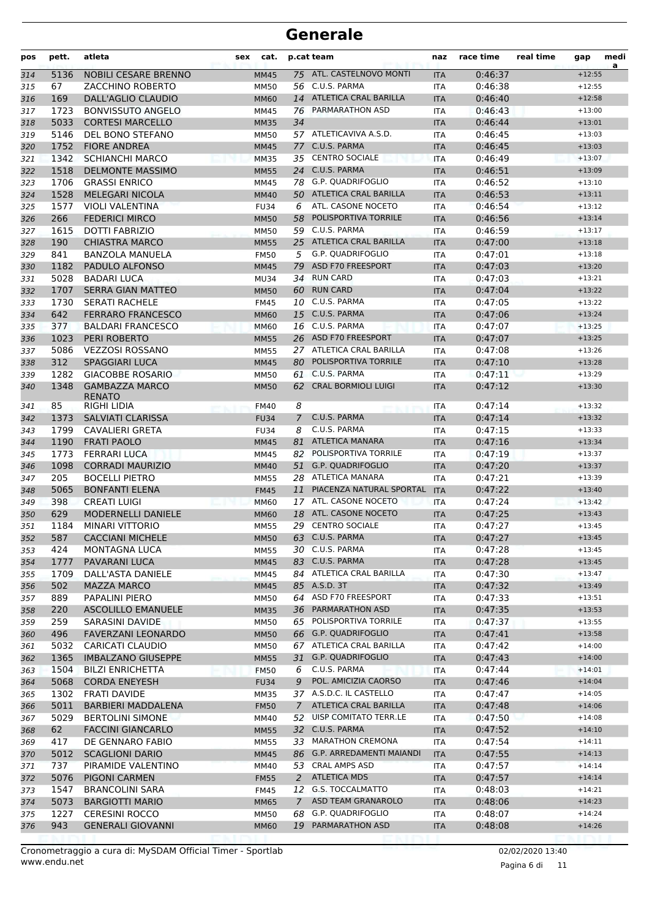| pos        | pett.        | atleta                                           | cat.<br>sex         |                | p.cat team                                          | naz               | race time          | real time | gap                  | medi<br>a |
|------------|--------------|--------------------------------------------------|---------------------|----------------|-----------------------------------------------------|-------------------|--------------------|-----------|----------------------|-----------|
| 314        | 5136         | <b>NOBILI CESARE BRENNO</b>                      | <b>MM45</b>         |                | 75 ATL. CASTELNOVO MONTI                            | <b>ITA</b>        | 0:46:37            |           | $+12:55$             |           |
| 315        | 67           | ZACCHINO ROBERTO                                 | <b>MM50</b>         |                | 56 C.U.S. PARMA                                     | <b>ITA</b>        | 0:46:38            |           | $+12:55$             |           |
| 316        | 169          | DALL'AGLIO CLAUDIO                               | <b>MM60</b>         |                | 14 ATLETICA CRAL BARILLA                            | <b>ITA</b>        | 0:46:40            |           | $+12:58$             |           |
| 317        | 1723         | <b>BONVISSUTO ANGELO</b>                         | MM45                |                | 76 PARMARATHON ASD                                  | <b>ITA</b>        | 0:46:43            |           | $+13:00$             |           |
| 318        | 5033         | <b>CORTESI MARCELLO</b>                          | <b>MM35</b>         | 34             |                                                     | <b>ITA</b>        | 0:46:44            |           | $+13:01$             |           |
| 319        | 5146         | DEL BONO STEFANO                                 | <b>MM50</b>         |                | 57 ATLETICAVIVA A.S.D.                              | <b>ITA</b>        | 0:46:45            |           | $+13:03$             |           |
| 320        | 1752         | <b>FIORE ANDREA</b>                              | <b>MM45</b>         |                | 77 C.U.S. PARMA                                     | <b>ITA</b>        | 0:46:45            |           | $+13:03$             |           |
| 321        | 1342         | <b>SCHIANCHI MARCO</b>                           | <b>MM35</b>         |                | 35 CENTRO SOCIALE                                   | <b>ITA</b>        | 0:46:49            |           | $+13:07$             |           |
| 322        | 1518         | <b>DELMONTE MASSIMO</b>                          | <b>MM55</b>         |                | 24 C.U.S. PARMA                                     | <b>ITA</b>        | 0:46:51            |           | $+13:09$             |           |
| 323        | 1706         | <b>GRASSI ENRICO</b>                             | MM45                |                | 78 G.P. QUADRIFOGLIO                                | <b>ITA</b>        | 0:46:52            |           | $+13:10$             |           |
| 324        | 1528         | <b>MELEGARI NICOLA</b>                           | <b>MM40</b>         |                | 50 ATLETICA CRAL BARILLA                            | <b>ITA</b>        | 0:46:53            |           | $+13:11$             |           |
| 325        | 1577         | <b>VIOLI VALENTINA</b>                           | <b>FU34</b>         | 6              | ATL. CASONE NOCETO                                  | <b>ITA</b>        | 0:46:54            |           | $+13:12$             |           |
| 326        | 266          | <b>FEDERICI MIRCO</b>                            | <b>MM50</b>         | 58             | POLISPORTIVA TORRILE                                | <b>ITA</b>        | 0:46:56            |           | $+13:14$             |           |
| 327        | 1615         | DOTTI FABRIZIO                                   | <b>MM50</b>         |                | 59 C.U.S. PARMA                                     | <b>ITA</b>        | 0:46:59            |           | $+13:17$             |           |
| 328        | 190          | <b>CHIASTRA MARCO</b>                            | <b>MM55</b>         |                | 25 ATLETICA CRAL BARILLA                            | <b>ITA</b>        | 0:47:00            |           | $+13:18$             |           |
| 329        | 841          | <b>BANZOLA MANUELA</b>                           | <b>FM50</b>         | 5              | G.P. QUADRIFOGLIO                                   | <b>ITA</b>        | 0:47:01            |           | $+13:18$             |           |
| 330        | 1182         | <b>PADULO ALFONSO</b>                            | <b>MM45</b>         | 79             | ASD F70 FREESPORT                                   | <b>ITA</b>        | 0:47:03            |           | $+13:20$             |           |
| 331        | 5028         | <b>BADARI LUCA</b>                               | <b>MU34</b>         |                | 34 RUN CARD                                         | <b>ITA</b>        | 0:47:03            |           | $+13:21$             |           |
| 332        | 1707         | <b>SERRA GIAN MATTEO</b>                         | <b>MM50</b>         |                | 60 RUN CARD                                         | <b>ITA</b>        | 0:47:04            |           | $+13:22$             |           |
| 333        | 1730         | <b>SERATI RACHELE</b>                            | <b>FM45</b>         |                | 10 C.U.S. PARMA                                     | <b>ITA</b>        | 0:47:05            |           | $+13:22$             |           |
| 334        | 642          | <b>FERRARO FRANCESCO</b>                         | <b>MM60</b>         |                | 15 C.U.S. PARMA                                     | <b>ITA</b>        | 0:47:06            |           | $+13:24$             |           |
| 335        | 377          | <b>BALDARI FRANCESCO</b>                         | <b>MM60</b>         |                | 16 C.U.S. PARMA                                     | <b>ITA</b>        | 0:47:07            |           | $+13:25$             |           |
| 336        | 1023         | <b>PERI ROBERTO</b>                              | <b>MM55</b>         |                | 26 ASD F70 FREESPORT                                | <b>ITA</b>        | 0:47:07            |           | $+13:25$             |           |
| 337        | 5086         | <b>VEZZOSI ROSSANO</b>                           | <b>MM55</b>         |                | 27 ATLETICA CRAL BARILLA<br>80 POLISPORTIVA TORRILE | <b>ITA</b>        | 0:47:08            |           | $+13:26$             |           |
| 338        | 312          | <b>SPAGGIARI LUCA</b>                            | <b>MM45</b>         |                | 61 C.U.S. PARMA                                     | <b>ITA</b>        | 0:47:10            |           | $+13:28$             |           |
| 339        | 1282<br>1348 | <b>GIACOBBE ROSARIO</b><br><b>GAMBAZZA MARCO</b> | <b>MM50</b>         |                | 62 CRAL BORMIOLI LUIGI                              | <b>ITA</b>        | 0:47:11            |           | $+13:29$<br>$+13:30$ |           |
| 340        |              | <b>RENATO</b>                                    | <b>MM50</b>         |                |                                                     | <b>ITA</b>        | 0:47:12            |           |                      |           |
| 341        | 85           | <b>RIGHI LIDIA</b>                               | <b>FM40</b>         | 8              |                                                     | ITA               | 0:47:14            |           | $+13:32$             |           |
| 342        | 1373         | <b>SALVIATI CLARISSA</b>                         | <b>FU34</b>         | $\overline{7}$ | C.U.S. PARMA                                        | <b>ITA</b>        | 0:47:14            |           | $+13:32$             |           |
| 343        | 1799         | <b>CAVALIERI GRETA</b>                           | <b>FU34</b>         | 8              | C.U.S. PARMA                                        | <b>ITA</b>        | 0:47:15            |           | $+13:33$             |           |
| 344        | 1190         | <b>FRATI PAOLO</b>                               | <b>MM45</b>         | 81             | ATLETICA MANARA                                     | <b>ITA</b>        | 0:47:16            |           | $+13:34$             |           |
| 345        | 1773         | <b>FERRARI LUCA</b>                              | MM45                | 82             | POLISPORTIVA TORRILE                                | <b>ITA</b>        | 0:47:19            |           | $+13:37$             |           |
| 346        | 1098         | <b>CORRADI MAURIZIO</b>                          | <b>MM40</b>         |                | 51 G.P. QUADRIFOGLIO                                | <b>ITA</b>        | 0:47:20            |           | $+13:37$             |           |
| 347        | 205          | <b>BOCELLI PIETRO</b>                            | <b>MM55</b>         |                | 28 ATLETICA MANARA                                  | <b>ITA</b>        | 0:47:21            |           | $+13:39$             |           |
| 348        | 5065         | <b>BONFANTI ELENA</b>                            | <b>FM45</b>         | 11             | PIACENZA NATURAL SPORTAL                            | <b>ITA</b>        | 0:47:22            |           | $+13:40$             |           |
| 349        | 398          | <b>CREATI LUIGI</b>                              | <b>MM60</b>         |                | 17 ATL. CASONE NOCETO<br>ATL. CASONE NOCETO         | <b>ITA</b>        | 0:47:24            |           | $+13:42$             |           |
| 350        | 629          | <b>MODERNELLI DANIELE</b>                        | <b>MM60</b>         | 18             | 29 CENTRO SOCIALE                                   | <b>ITA</b>        | 0:47:25            |           | $+13:43$             |           |
| 351<br>352 | 1184<br>587  | MINARI VITTORIO<br><b>CACCIANI MICHELE</b>       | <b>MM55</b>         |                | 63 C.U.S. PARMA                                     | <b>ITA</b>        | 0:47:27<br>0:47:27 |           | $+13:45$<br>$+13:45$ |           |
|            | 424          | <b>MONTAGNA LUCA</b>                             | <b>MM50</b>         |                | 30 C.U.S. PARMA                                     | IIA               | 0:47:28            |           | $+13:45$             |           |
| 353<br>354 | 1777         | PAVARANI LUCA                                    | MM55<br><b>MM45</b> |                | 83 C.U.S. PARMA                                     | ITA<br><b>ITA</b> | 0:47:28            |           | $+13:45$             |           |
| 355        | 1709         | DALL'ASTA DANIELE                                | MM45                |                | 84 ATLETICA CRAL BARILLA                            | ITA               | 0:47:30            |           | $+13:47$             |           |
| 356        | 502          | <b>MAZZA MARCO</b>                               | <b>MM45</b>         |                | 85 A.S.D. 3T                                        | <b>ITA</b>        | 0:47:32            |           | $+13:49$             |           |
| 357        | 889          | PAPALINI PIERO                                   | <b>MM50</b>         |                | 64 ASD F70 FREESPORT                                | ITA               | 0:47:33            |           | $+13:51$             |           |
| 358        | 220          | <b>ASCOLILLO EMANUELE</b>                        | <b>MM35</b>         |                | 36 PARMARATHON ASD                                  | <b>ITA</b>        | 0:47:35            |           | $+13:53$             |           |
| 359        | 259          | SARASINI DAVIDE                                  | <b>MM50</b>         |                | 65 POLISPORTIVA TORRILE                             | ITA               | 0:47:37            |           | $+13:55$             |           |
| 360        | 496          | <b>FAVERZANI LEONARDO</b>                        | <b>MM50</b>         |                | 66 G.P. QUADRIFOGLIO                                | <b>ITA</b>        | 0:47:41            |           | $+13:58$             |           |
| 361        | 5032         | <b>CARICATI CLAUDIO</b>                          | <b>MM50</b>         |                | 67 ATLETICA CRAL BARILLA                            | ITA               | 0:47:42            |           | $+14:00$             |           |
| 362        | 1365         | <b>IMBALZANO GIUSEPPE</b>                        | <b>MM55</b>         |                | 31 G.P. QUADRIFOGLIO                                | <b>ITA</b>        | 0:47:43            |           | $+14:00$             |           |
| 363        | 1504         | <b>BILZI ENRICHETTA</b>                          | <b>FM50</b>         | 6              | C.U.S. PARMA                                        | <b>ITA</b>        | 0:47:44            |           | $+14:01$             |           |
| 364        | 5068         | <b>CORDA ENEYESH</b>                             | <b>FU34</b>         | 9              | POL. AMICIZIA CAORSO                                | <b>ITA</b>        | 0:47:46            |           | $+14:04$             |           |
| 365        | 1302         | <b>FRATI DAVIDE</b>                              | <b>MM35</b>         |                | 37 A.S.D.C. IL CASTELLO                             | ITA               | 0:47:47            |           | $+14:05$             |           |
| 366        | 5011         | <b>BARBIERI MADDALENA</b>                        | <b>FM50</b>         | $\mathcal{I}$  | ATLETICA CRAL BARILLA                               | <b>ITA</b>        | 0:47:48            |           | $+14:06$             |           |
| 367        | 5029         | <b>BERTOLINI SIMONE</b>                          | MM40                |                | 52 UISP COMITATO TERR.LE                            | ITA               | 0:47:50            |           | $+14:08$             |           |
| 368        | 62           | <b>FACCINI GIANCARLO</b>                         | <b>MM55</b>         |                | 32 C.U.S. PARMA                                     | <b>ITA</b>        | 0:47:52            |           | $+14:10$             |           |
| 369        | 417          | DE GENNARO FABIO                                 | <b>MM55</b>         |                | 33 MARATHON CREMONA                                 | ITA               | 0:47:54            |           | $+14:11$             |           |
| 370        | 5012         | <b>SCAGLIONI DARIO</b>                           | <b>MM45</b>         |                | 86 G.P. ARREDAMENTI MAIANDI                         | <b>ITA</b>        | 0:47:55            |           | $+14:13$             |           |
| 371        | 737          | PIRAMIDE VALENTINO                               | MM40                |                | 53 CRAL AMPS ASD                                    | ITA               | 0:47:57            |           | $+14:14$             |           |
| 372        | 5076         | <b>PIGONI CARMEN</b>                             | <b>FM55</b>         |                | 2 ATLETICA MDS                                      | <b>ITA</b>        | 0:47:57            |           | $+14:14$             |           |
| 373        | 1547         | <b>BRANCOLINI SARA</b>                           | <b>FM45</b>         |                | 12 G.S. TOCCALMATTO                                 | ITA               | 0:48:03            |           | $+14:21$             |           |
| 374        | 5073         | <b>BARGIOTTI MARIO</b>                           | <b>MM65</b>         | $\mathcal{I}$  | ASD TEAM GRANAROLO                                  | <b>ITA</b>        | 0:48:06            |           | $+14:23$             |           |
| 375        | 1227         | <b>CERESINI ROCCO</b>                            | <b>MM50</b>         |                | 68 G.P. QUADRIFOGLIO                                | ITA               | 0:48:07            |           | $+14:24$             |           |
| 376        | 943          | <b>GENERALI GIOVANNI</b>                         | <b>MM60</b>         |                | 19 PARMARATHON ASD                                  | <b>ITA</b>        | 0:48:08            |           | $+14:26$             |           |
|            |              |                                                  |                     |                |                                                     |                   |                    |           |                      |           |

Pagina 6 di 11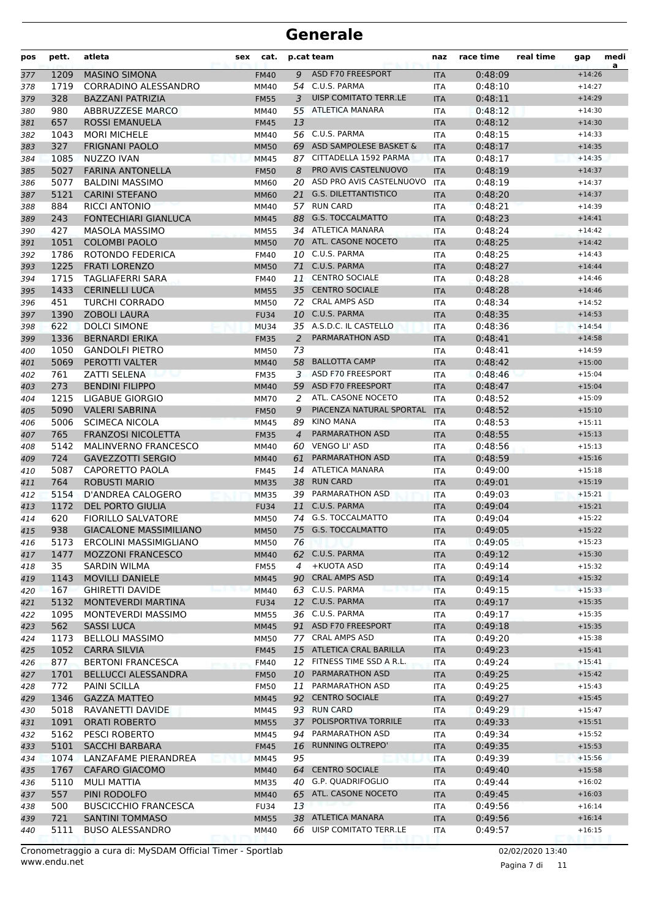| pos        | pett.        | atleta                                             | <b>sex</b><br>cat.         |                | p.cat team                                              | naz               | race time          | real time | gap                  | medi<br>a |
|------------|--------------|----------------------------------------------------|----------------------------|----------------|---------------------------------------------------------|-------------------|--------------------|-----------|----------------------|-----------|
| 377        | 1209         | <b>MASINO SIMONA</b>                               | <b>FM40</b>                | 9              | ASD F70 FREESPORT                                       | <b>ITA</b>        | 0:48:09            |           | $+14:26$             |           |
| 378        | 1719         | CORRADINO ALESSANDRO                               | MM40                       |                | 54 C.U.S. PARMA                                         | ITA               | 0:48:10            |           | $+14:27$             |           |
| 379        | 328          | <b>BAZZANI PATRIZIA</b>                            | <b>FM55</b>                | 3              | UISP COMITATO TERR.LE                                   | <b>ITA</b>        | 0:48:11            |           | $+14:29$             |           |
| 380        | 980          | <b>ABBRUZZESE MARCO</b>                            | MM40                       | 55             | ATLETICA MANARA                                         | ITA               | 0:48:12            |           | $+14:30$             |           |
| 381        | 657          | ROSSI EMANUELA                                     | <b>FM45</b>                | 13             |                                                         | <b>ITA</b>        | 0:48:12            |           | $+14:30$             |           |
| 382        | 1043         | <b>MORI MICHELE</b>                                | MM40                       |                | 56 C.U.S. PARMA                                         | <b>ITA</b>        | 0:48:15            |           | $+14:33$             |           |
| 383        | 327          | <b>FRIGNANI PAOLO</b>                              | <b>MM50</b>                | 69             | ASD SAMPOLESE BASKET &                                  | <b>ITA</b>        | 0:48:17            |           | $+14:35$             |           |
| 384        | 1085         | <b>NUZZO IVAN</b>                                  | <b>MM45</b>                |                | 87 CITTADELLA 1592 PARMA                                | <b>ITA</b>        | 0:48:17            |           | $+14:35$             |           |
| 385        | 5027         | <b>FARINA ANTONELLA</b>                            | <b>FM50</b>                | 8              | <b>PRO AVIS CASTELNUOVO</b><br>ASD PRO AVIS CASTELNUOVO | <b>ITA</b>        | 0:48:19            |           | $+14:37$<br>$+14:37$ |           |
| 386        | 5077         | <b>BALDINI MASSIMO</b><br><b>CARINI STEFANO</b>    | MM60                       | 20             | <b>G.S. DILETTANTISTICO</b>                             | <b>ITA</b>        | 0:48:19<br>0:48:20 |           |                      |           |
| 387<br>388 | 5121<br>884  | <b>RICCI ANTONIO</b>                               | <b>MM60</b><br>MM40        | 21             | 57 RUN CARD                                             | <b>ITA</b><br>ITA | 0:48:21            |           | $+14:37$<br>$+14:39$ |           |
| 389        | 243          | <b>FONTECHIARI GIANLUCA</b>                        | <b>MM45</b>                | 88             | <b>G.S. TOCCALMATTO</b>                                 | <b>ITA</b>        | 0:48:23            |           | $+14:41$             |           |
| 390        | 427          | MASOLA MASSIMO                                     | <b>MM55</b>                |                | 34 ATLETICA MANARA                                      | ITA               | 0:48:24            |           | $+14:42$             |           |
| 391        | 1051         | <b>COLOMBI PAOLO</b>                               | <b>MM50</b>                |                | 70 ATL. CASONE NOCETO                                   | <b>ITA</b>        | 0:48:25            |           | $+14:42$             |           |
| 392        | 1786         | ROTONDO FEDERICA                                   | <b>FM40</b>                |                | 10 C.U.S. PARMA                                         | ITA               | 0:48:25            |           | $+14:43$             |           |
| 393        | 1225         | <b>FRATI LORENZO</b>                               | <b>MM50</b>                |                | 71 C.U.S. PARMA                                         | <b>ITA</b>        | 0:48:27            |           | $+14:44$             |           |
| 394        | 1715         | TAGLIAFERRI SARA                                   | <b>FM40</b>                | 11             | <b>CENTRO SOCIALE</b>                                   | ITA               | 0:48:28            |           | $+14:46$             |           |
| 395        | 1433         | <b>CERINELLI LUCA</b>                              | <b>MM55</b>                |                | 35 CENTRO SOCIALE                                       | <b>ITA</b>        | 0:48:28            |           | $+14:46$             |           |
| 396        | 451          | TURCHI CORRADO                                     | <b>MM50</b>                |                | 72 CRAL AMPS ASD                                        | ITA               | 0:48:34            |           | $+14:52$             |           |
| 397        | 1390         | <b>ZOBOLI LAURA</b>                                | <b>FU34</b>                |                | 10 C.U.S. PARMA                                         | <b>ITA</b>        | 0:48:35            |           | $+14:53$             |           |
| 398        | 622          | <b>DOLCI SIMONE</b>                                | <b>MU34</b>                |                | 35 A.S.D.C. IL CASTELLO                                 | <b>ITA</b>        | 0:48:36            |           | $+14:54$             |           |
| 399        | 1336         | <b>BERNARDI ERIKA</b>                              | <b>FM35</b>                | $\overline{a}$ | <b>PARMARATHON ASD</b>                                  | <b>ITA</b>        | 0:48:41            |           | $+14:58$             |           |
| 400        | 1050         | <b>GANDOLFI PIETRO</b>                             | <b>MM50</b>                | 73             |                                                         | ITA               | 0:48:41            |           | $+14:59$             |           |
| 401        | 5069         | PEROTTI VALTER                                     | <b>MM40</b>                | 58             | <b>BALLOTTA CAMP</b>                                    | <b>ITA</b>        | 0:48:42            |           | $+15:00$             |           |
| 402        | 761          | <b>ZATTI SELENA</b>                                | <b>FM35</b>                |                | 3 ASD F70 FREESPORT                                     | ITA               | 0:48:46            |           | $+15:04$             |           |
| 403        | 273          | <b>BENDINI FILIPPO</b>                             | <b>MM40</b>                |                | 59 ASD F70 FREESPORT                                    | <b>ITA</b>        | 0:48:47            |           | $+15:04$             |           |
| 404        | 1215         | LIGABUE GIORGIO                                    | <b>MM70</b>                | 2              | ATL. CASONE NOCETO                                      | <b>ITA</b>        | 0:48:52            |           | $+15:09$             |           |
| 405        | 5090         | <b>VALERI SABRINA</b>                              | <b>FM50</b>                | 9              | PIACENZA NATURAL SPORTAL                                | <b>ITA</b>        | 0:48:52            |           | $+15:10$             |           |
| 406        | 5006         | <b>SCIMECA NICOLA</b>                              | MM45                       | 89             | <b>KINO MANA</b>                                        | <b>ITA</b>        | 0:48:53            |           | $+15:11$             |           |
| 407        | 765          | <b>FRANZOSI NICOLETTA</b>                          | <b>FM35</b>                | $\overline{4}$ | <b>PARMARATHON ASD</b>                                  | <b>ITA</b>        | 0:48:55            |           | $+15:13$             |           |
| 408        | 5142         | <b>MALINVERNO FRANCESCO</b>                        | MM40                       |                | 60 VENGO LI' ASD                                        | ITA               | 0:48:56            |           | $+15:13$             |           |
| 409        | 724<br>5087  | <b>GAVEZZOTTI SERGIO</b><br><b>CAPORETTO PAOLA</b> | <b>MM40</b>                | 61             | <b>PARMARATHON ASD</b><br>ATLETICA MANARA               | <b>ITA</b>        | 0:48:59            |           | $+15:16$             |           |
| 410<br>411 | 764          | <b>ROBUSTI MARIO</b>                               | <b>FM45</b><br><b>MM35</b> | 14<br>38       | <b>RUN CARD</b>                                         | ITA<br><b>ITA</b> | 0:49:00<br>0:49:01 |           | $+15:18$<br>$+15:19$ |           |
| 412        | 5154         | <b>D'ANDREA CALOGERO</b>                           | <b>MM35</b>                | 39             | PARMARATHON ASD                                         | <b>ITA</b>        | 0:49:03            |           | $+15:21$             |           |
| 413        | 1172         | <b>DEL PORTO GIULIA</b>                            | <b>FU34</b>                | 11             | C.U.S. PARMA                                            | <b>ITA</b>        | 0:49:04            |           | $+15:21$             |           |
| 414        | 620          | <b>FIORILLO SALVATORE</b>                          | <b>MM50</b>                |                | 74 G.S. TOCCALMATTO                                     | ITA               | 0:49:04            |           | $+15:22$             |           |
| 415        | 938          | <b>GIACALONE MASSIMILIANO</b>                      | <b>MM50</b>                |                | 75 G.S. TOCCALMATTO                                     | <b>ITA</b>        | 0:49:05            |           | $+15:22$             |           |
| 416        | 5173         | ERCOLINI MASSIMIGLIANO                             | MM50                       | 76             |                                                         | ITA               | 0:49:05            |           | $+15:23$             |           |
| 417        | 1477         | <b>MOZZONI FRANCESCO</b>                           | <b>MM40</b>                |                | 62 C.U.S. PARMA                                         | <b>ITA</b>        | 0:49:12            |           | $+15:30$             |           |
| 418        | 35           | <b>SARDIN WILMA</b>                                | <b>FM55</b>                | 4              | +KUOTA ASD                                              | ITA               | 0:49:14            |           | $+15:32$             |           |
| 419        | 1143         | <b>MOVILLI DANIELE</b>                             | <b>MM45</b>                |                | 90 CRAL AMPS ASD                                        | <b>ITA</b>        | 0:49:14            |           | $+15:32$             |           |
| 420        | 167          | <b>GHIRETTI DAVIDE</b>                             | <b>MM40</b>                |                | 63 C.U.S. PARMA                                         | ITA               | 0:49:15            |           | $+15:33$             |           |
| 421        | 5132         | <b>MONTEVERDI MARTINA</b>                          | <b>FU34</b>                |                | 12 C.U.S. PARMA                                         | <b>ITA</b>        | 0:49:17            |           | $+15:35$             |           |
| 422        | 1095         | MONTEVERDI MASSIMO                                 | MM55                       |                | 36 C.U.S. PARMA                                         | <b>ITA</b>        | 0:49:17            |           | $+15:35$             |           |
| 423        | 562          | <b>SASSI LUCA</b>                                  | <b>MM45</b>                |                | 91 ASD F70 FREESPORT                                    | <b>ITA</b>        | 0:49:18            |           | $+15:35$             |           |
| 424        | 1173         | <b>BELLOLI MASSIMO</b>                             | <b>MM50</b>                |                | 77 CRAL AMPS ASD                                        | ITA               | 0:49:20            |           | $+15:38$             |           |
| 425        | 1052         | <b>CARRA SILVIA</b>                                | <b>FM45</b>                |                | 15 ATLETICA CRAL BARILLA                                | <b>ITA</b>        | 0:49:23            |           | $+15:41$             |           |
| 426        | 877          | <b>BERTONI FRANCESCA</b>                           | <b>FM40</b>                |                | 12 FITNESS TIME SSD A R.L.                              | ITA               | 0:49:24            |           | $+15:41$             |           |
| 427        | 1701         | <b>BELLUCCI ALESSANDRA</b>                         | <b>FM50</b>                |                | 10 PARMARATHON ASD                                      | <b>ITA</b>        | 0:49:25            |           | $+15:42$             |           |
| 428        | 772          | PAINI SCILLA                                       | <b>FM50</b>                | 11             | PARMARATHON ASD                                         | ITA               | 0:49:25            |           | $+15:43$             |           |
| 429        | 1346         | <b>GAZZA MATTEO</b>                                | <b>MM45</b>                |                | 92 CENTRO SOCIALE                                       | <b>ITA</b>        | 0:49:27            |           | $+15:45$             |           |
| 430        | 5018         | RAVANETTI DAVIDE                                   | MM45                       |                | 93 RUN CARD                                             | ITA               | 0:49:29            |           | $+15:47$             |           |
| 431        | 1091         | <b>ORATI ROBERTO</b>                               | <b>MM55</b>                |                | 37 POLISPORTIVA TORRILE                                 | <b>ITA</b>        | 0:49:33            |           | $+15:51$             |           |
| 432        | 5162         | PESCI ROBERTO                                      | MM45                       |                | 94 PARMARATHON ASD                                      | <b>ITA</b>        | 0:49:34            |           | $+15:52$             |           |
| 433        | 5101         | <b>SACCHI BARBARA</b>                              | <b>FM45</b>                | 16             | RUNNING OLTREPO'                                        | <b>ITA</b>        | 0:49:35            |           | $+15:53$             |           |
| 434        | 1074<br>1767 | LANZAFAME PIERANDREA<br><b>CAFARO GIACOMO</b>      | <b>MM45</b>                | 95             | 64 CENTRO SOCIALE                                       | ITA               | 0:49:39<br>0:49:40 |           | $+15:56$<br>$+15:58$ |           |
| 435<br>436 | 5110         | MULI MATTIA                                        | <b>MM40</b><br><b>MM35</b> |                | 40 G.P. QUADRIFOGLIO                                    | <b>ITA</b><br>ITA | 0:49:44            |           | $+16:02$             |           |
| 437        | 557          | PINI RODOLFO                                       | <b>MM40</b>                |                | 65 ATL. CASONE NOCETO                                   | <b>ITA</b>        | 0:49:45            |           | $+16:03$             |           |
| 438        | 500          | <b>BUSCICCHIO FRANCESCA</b>                        | <b>FU34</b>                | 13             |                                                         | ITA               | 0:49:56            |           | $+16:14$             |           |
| 439        | 721          | <b>SANTINI TOMMASO</b>                             | <b>MM55</b>                |                | 38 ATLETICA MANARA                                      | <b>ITA</b>        | 0:49:56            |           | $+16:14$             |           |
| 440        | 5111         | <b>BUSO ALESSANDRO</b>                             | MM40                       |                | 66 UISP COMITATO TERR.LE                                | ITA               | 0:49:57            |           | $+16:15$             |           |
|            |              |                                                    |                            |                |                                                         |                   |                    |           |                      |           |

Pagina 7 di 11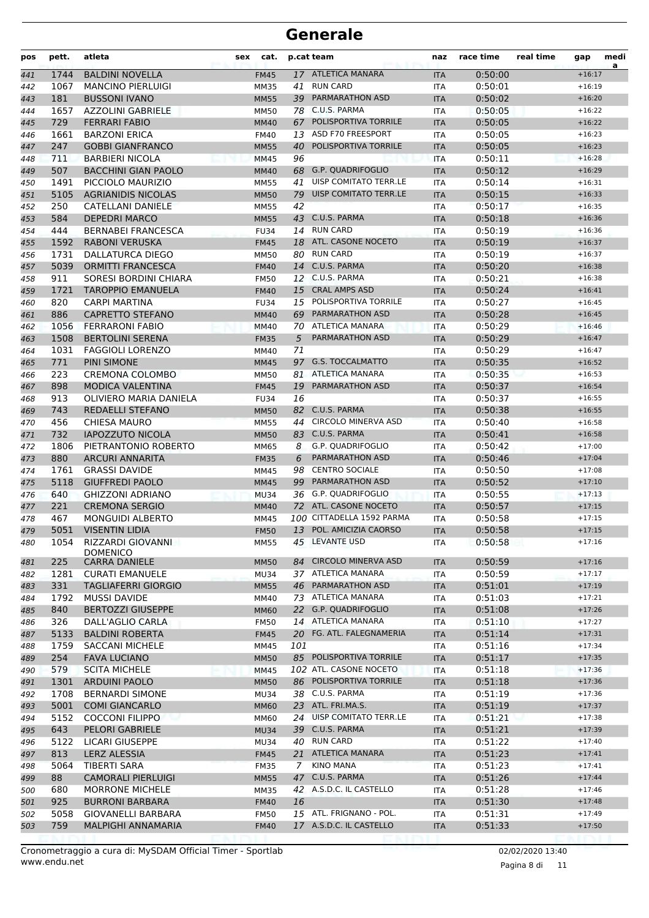| pos | pett. | atleta                               | cat.<br>sex |             | p.cat team                                         | naz        | race time | real time | gap      | medi<br>a |
|-----|-------|--------------------------------------|-------------|-------------|----------------------------------------------------|------------|-----------|-----------|----------|-----------|
| 441 | 1744  | <b>BALDINI NOVELLA</b>               | <b>FM45</b> |             | 17 ATLETICA MANARA                                 | <b>ITA</b> | 0:50:00   |           | $+16:17$ |           |
| 442 | 1067  | <b>MANCINO PIERLUIGI</b>             | <b>MM35</b> | 41          | <b>RUN CARD</b>                                    | <b>ITA</b> | 0:50:01   |           | $+16:19$ |           |
| 443 | 181   | <b>BUSSONI IVANO</b>                 | <b>MM55</b> | 39          | <b>PARMARATHON ASD</b>                             | <b>ITA</b> | 0:50:02   |           | $+16:20$ |           |
| 444 | 1657  | AZZOLINI GABRIELE                    | <b>MM50</b> |             | 78 C.U.S. PARMA                                    | <b>ITA</b> | 0:50:05   |           | $+16:22$ |           |
| 445 | 729   | <b>FERRARI FABIO</b>                 | <b>MM40</b> | 67          | POLISPORTIVA TORRILE                               | <b>ITA</b> | 0:50:05   |           | $+16:22$ |           |
| 446 | 1661  | <b>BARZONI ERICA</b>                 | <b>FM40</b> |             | 13 ASD F70 FREESPORT                               | <b>ITA</b> | 0:50:05   |           | $+16:23$ |           |
| 447 | 247   | <b>GOBBI GIANFRANCO</b>              | <b>MM55</b> | 40          | POLISPORTIVA TORRILE                               | <b>ITA</b> | 0:50:05   |           | $+16:23$ |           |
| 448 | 711   | <b>BARBIERI NICOLA</b>               | MM45        | 96          |                                                    | <b>ITA</b> | 0:50:11   |           | $+16:28$ |           |
| 449 | 507   | <b>BACCHINI GIAN PAOLO</b>           | <b>MM40</b> |             | 68 G.P. QUADRIFOGLIO                               | <b>ITA</b> | 0:50:12   |           | $+16:29$ |           |
| 450 | 1491  | PICCIOLO MAURIZIO                    | <b>MM55</b> | 41          | UISP COMITATO TERR.LE                              | <b>ITA</b> | 0:50:14   |           | $+16:31$ |           |
| 451 | 5105  | <b>AGRIANIDIS NICOLAS</b>            | <b>MM50</b> | 79          | UISP COMITATO TERR.LE                              | <b>ITA</b> | 0:50:15   |           | $+16:33$ |           |
| 452 | 250   | CATELLANI DANIELE                    | <b>MM55</b> | 42          |                                                    | <b>ITA</b> | 0:50:17   |           | $+16:35$ |           |
| 453 | 584   | <b>DEPEDRI MARCO</b>                 | <b>MM55</b> | 43          | C.U.S. PARMA                                       | <b>ITA</b> | 0:50:18   |           | $+16:36$ |           |
| 454 | 444   | <b>BERNABEI FRANCESCA</b>            | <b>FU34</b> |             | 14 RUN CARD                                        | <b>ITA</b> | 0:50:19   |           | $+16:36$ |           |
| 455 | 1592  | <b>RABONI VERUSKA</b>                | <b>FM45</b> |             | 18 ATL. CASONE NOCETO                              | <b>ITA</b> | 0:50:19   |           | $+16:37$ |           |
| 456 | 1731  | DALLATURCA DIEGO                     | <b>MM50</b> |             | 80 RUN CARD                                        | ITA        | 0:50:19   |           | $+16:37$ |           |
| 457 | 5039  | <b>ORMITTI FRANCESCA</b>             | <b>FM40</b> |             | 14 C.U.S. PARMA                                    | <b>ITA</b> | 0:50:20   |           | $+16:38$ |           |
| 458 | 911   | SORESI BORDINI CHIARA                | <b>FM50</b> |             | 12 C.U.S. PARMA                                    | <b>ITA</b> | 0:50:21   |           | $+16:38$ |           |
| 459 | 1721  | <b>TAROPPIO EMANUELA</b>             | <b>FM40</b> | 15          | <b>CRAL AMPS ASD</b>                               | <b>ITA</b> | 0:50:24   |           | $+16:41$ |           |
| 460 | 820   | <b>CARPI MARTINA</b>                 | <b>FU34</b> |             | 15 POLISPORTIVA TORRILE                            | <b>ITA</b> | 0:50:27   |           | $+16:45$ |           |
| 461 | 886   | <b>CAPRETTO STEFANO</b>              | <b>MM40</b> | 69          | PARMARATHON ASD                                    | <b>ITA</b> | 0:50:28   |           | $+16:45$ |           |
| 462 | 1056  | <b>FERRARONI FABIO</b>               | <b>MM40</b> |             | 70 ATLETICA MANARA                                 | <b>ITA</b> | 0:50:29   |           | $+16:46$ |           |
| 463 | 1508  | <b>BERTOLINI SERENA</b>              | <b>FM35</b> | 5           | <b>PARMARATHON ASD</b>                             | <b>ITA</b> | 0:50:29   |           | $+16:47$ |           |
| 464 | 1031  | <b>FAGGIOLI LORENZO</b>              | MM40        | 71          |                                                    | <b>ITA</b> | 0:50:29   |           | $+16:47$ |           |
| 465 | 771   | <b>PINI SIMONE</b>                   | <b>MM45</b> | 97          | <b>G.S. TOCCALMATTO</b>                            | <b>ITA</b> | 0:50:35   |           | $+16:52$ |           |
| 466 | 223   | <b>CREMONA COLOMBO</b>               | <b>MM50</b> |             | 81 ATLETICA MANARA                                 | <b>ITA</b> | 0:50:35   |           | $+16:53$ |           |
| 467 | 898   | <b>MODICA VALENTINA</b>              | <b>FM45</b> | 19          | PARMARATHON ASD                                    | <b>ITA</b> | 0:50:37   |           | $+16:54$ |           |
| 468 | 913   | OLIVIERO MARIA DANIELA               | <b>FU34</b> | 16          |                                                    | ITA        | 0:50:37   |           | $+16:55$ |           |
| 469 | 743   | REDAELLI STEFANO                     | <b>MM50</b> | 82          | C.U.S. PARMA                                       | <b>ITA</b> | 0:50:38   |           | $+16:55$ |           |
| 470 | 456   | <b>CHIESA MAURO</b>                  | MM55        | 44          | <b>CIRCOLO MINERVA ASD</b>                         | <b>ITA</b> | 0:50:40   |           | $+16:58$ |           |
| 471 | 732   | <b>IAPOZZUTO NICOLA</b>              | <b>MM50</b> |             | 83 C.U.S. PARMA                                    | <b>ITA</b> | 0:50:41   |           | $+16:58$ |           |
| 472 | 1806  | PIETRANTONIO ROBERTO                 | MM65        | 8           | G.P. QUADRIFOGLIO                                  | <b>ITA</b> | 0:50:42   |           | $+17:00$ |           |
| 473 | 880   | <b>ARCURI ANNARITA</b>               | <b>FM35</b> | 6           | PARMARATHON ASD                                    | <b>ITA</b> | 0:50:46   |           | $+17:04$ |           |
| 474 | 1761  | <b>GRASSI DAVIDE</b>                 | MM45        | 98          | <b>CENTRO SOCIALE</b>                              | <b>ITA</b> | 0:50:50   |           | $+17:08$ |           |
| 475 | 5118  | <b>GIUFFREDI PAOLO</b>               | <b>MM45</b> | 99          | PARMARATHON ASD                                    | <b>ITA</b> | 0:50:52   |           | $+17:10$ |           |
| 476 | 640   | <b>GHIZZONI ADRIANO</b>              | <b>MU34</b> | 36          | G.P. QUADRIFOGLIO                                  | <b>ITA</b> | 0:50:55   |           | $+17:13$ |           |
| 477 | 221   | <b>CREMONA SERGIO</b>                | <b>MM40</b> |             | 72 ATL. CASONE NOCETO<br>100 CITTADELLA 1592 PARMA | <b>ITA</b> | 0:50:57   |           | $+17:15$ |           |
| 478 | 467   | <b>MONGUIDI ALBERTO</b>              | MM45        |             | POL. AMICIZIA CAORSO                               | <b>ITA</b> | 0:50:58   |           | $+17:15$ |           |
| 479 | 5051  | <b>VISENTIN LIDIA</b>                | <b>FM50</b> | 13          |                                                    | <b>ITA</b> | 0:50:58   |           | $+17:15$ |           |
| 480 | 1054  | RIZZARDI GIOVANNI<br><b>DOMENICO</b> | <b>MM55</b> |             | 45 LEVANTE USD                                     | ITA        | 0:50:58   |           | $+17:16$ |           |
| 481 | 225   | <b>CARRA DANIELE</b>                 | <b>MM50</b> | 84          | <b>CIRCOLO MINERVA ASD</b>                         | <b>ITA</b> | 0:50:59   |           | $+17:16$ |           |
| 482 | 1281  | <b>CURATI EMANUELE</b>               | <b>MU34</b> |             | 37 ATLETICA MANARA                                 | ITA        | 0:50:59   |           | $+17:17$ |           |
| 483 | 331   | <b>TAGLIAFERRI GIORGIO</b>           | <b>MM55</b> | 46          | PARMARATHON ASD                                    | <b>ITA</b> | 0:51:01   |           | $+17:19$ |           |
| 484 | 1792  | <b>MUSSI DAVIDE</b>                  | MM40        |             | 73 ATLETICA MANARA                                 | ITA        | 0:51:03   |           | $+17:21$ |           |
| 485 | 840   | <b>BERTOZZI GIUSEPPE</b>             | <b>MM60</b> |             | 22 G.P. QUADRIFOGLIO                               | <b>ITA</b> | 0:51:08   |           | $+17:26$ |           |
| 486 | 326   | DALL'AGLIO CARLA                     | <b>FM50</b> |             | 14 ATLETICA MANARA                                 | <b>ITA</b> | 0:51:10   |           | $+17:27$ |           |
| 487 | 5133  | <b>BALDINI ROBERTA</b>               | <b>FM45</b> |             | 20 FG. ATL. FALEGNAMERIA                           | <b>ITA</b> | 0:51:14   |           | $+17:31$ |           |
| 488 | 1759  | <b>SACCANI MICHELE</b>               | MM45        | 101         |                                                    | ITA        | 0:51:16   |           | $+17:34$ |           |
| 489 | 254   | <b>FAVA LUCIANO</b>                  | <b>MM50</b> |             | 85 POLISPORTIVA TORRILE                            | <b>ITA</b> | 0:51:17   |           | $+17:35$ |           |
| 490 | 579   | <b>SCITA MICHELE</b>                 | MM45        |             | 102 ATL. CASONE NOCETO                             | ITA        | 0:51:18   |           | $+17:36$ |           |
| 491 | 1301  | <b>ARDUINI PAOLO</b>                 | <b>MM50</b> |             | 86 POLISPORTIVA TORRILE                            | <b>ITA</b> | 0:51:18   |           | $+17:36$ |           |
| 492 | 1708  | <b>BERNARDI SIMONE</b>               | MU34        |             | 38 C.U.S. PARMA                                    | ITA        | 0:51:19   |           | $+17:36$ |           |
| 493 | 5001  | <b>COMI GIANCARLO</b>                | <b>MM60</b> |             | 23 ATL. FRI.MA.S.                                  | <b>ITA</b> | 0:51:19   |           | $+17:37$ |           |
| 494 | 5152  | <b>COCCONI FILIPPO</b>               | MM60        |             | 24 UISP COMITATO TERR.LE                           | ITA        | 0:51:21   |           | $+17:38$ |           |
| 495 | 643   | PELORI GABRIELE                      | <b>MU34</b> |             | 39 C.U.S. PARMA                                    | <b>ITA</b> | 0:51:21   |           | $+17:39$ |           |
| 496 | 5122  | LICARI GIUSEPPE                      | MU34        |             | 40 RUN CARD                                        | ITA        | 0:51:22   |           | $+17:40$ |           |
| 497 | 813   | <b>LERZ ALESSIA</b>                  | <b>FM45</b> |             | 21 ATLETICA MANARA                                 | <b>ITA</b> | 0:51:23   |           | $+17:41$ |           |
| 498 | 5064  | <b>TIBERTI SARA</b>                  | <b>FM35</b> | $7^{\circ}$ | <b>KINO MANA</b>                                   | <b>ITA</b> | 0:51:23   |           | $+17:41$ |           |
| 499 | 88    | <b>CAMORALI PIERLUIGI</b>            | <b>MM55</b> | 47          | C.U.S. PARMA                                       | <b>ITA</b> | 0:51:26   |           | $+17:44$ |           |
| 500 | 680   | MORRONE MICHELE                      | MM35        |             | 42 A.S.D.C. IL CASTELLO                            | ITA        | 0:51:28   |           | $+17:46$ |           |
| 501 | 925   | <b>BURRONI BARBARA</b>               | <b>FM40</b> | 16          |                                                    | <b>ITA</b> | 0:51:30   |           | $+17:48$ |           |
| 502 | 5058  | GIOVANELLI BARBARA                   | <b>FM50</b> |             | 15 ATL. FRIGNANO - POL.                            | ITA        | 0:51:31   |           | $+17:49$ |           |
| 503 | 759   | MALPIGHI ANNAMARIA                   | <b>FM40</b> |             | 17 A.S.D.C. IL CASTELLO                            | <b>ITA</b> | 0:51:33   |           | $+17:50$ |           |
|     |       |                                      |             |             |                                                    |            |           |           |          |           |

www.endu.net Cronometraggio a cura di: MySDAM Official Timer - Sportlab 02/02/2020 13:40

Pagina 8 di 11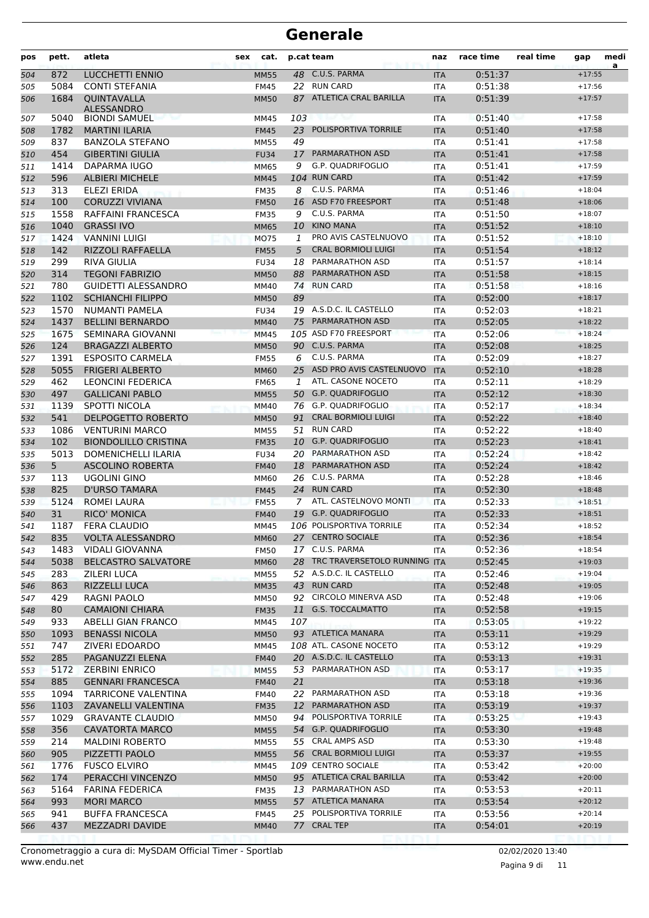| pos        | pett.       | atleta                                       | cat.<br>sex                |         | p.cat team                               | naz                      | race time          | real time | gap                  | medi<br>a |
|------------|-------------|----------------------------------------------|----------------------------|---------|------------------------------------------|--------------------------|--------------------|-----------|----------------------|-----------|
| 504        | 872         | LUCCHETTI ENNIO                              | <b>MM55</b>                | 48      | C.U.S. PARMA                             | <b>ITA</b>               | 0:51:37            |           | $+17:55$             |           |
| 505        | 5084        | <b>CONTI STEFANIA</b>                        | <b>FM45</b>                |         | 22 RUN CARD                              | <b>ITA</b>               | 0:51:38            |           | $+17:56$             |           |
| 506        | 1684        | QUINTAVALLA<br><b>ALESSANDRO</b>             | <b>MM50</b>                |         | 87 ATLETICA CRAL BARILLA                 | <b>ITA</b>               | 0:51:39            |           | $+17:57$             |           |
| 507        | 5040        | <b>BIONDI SAMUEL</b>                         | MM45                       | 103     |                                          | ITA                      | 0:51:40            |           | $+17:58$             |           |
| 508        | 1782        | <b>MARTINI ILARIA</b>                        | <b>FM45</b>                | 23      | POLISPORTIVA TORRILE                     | <b>ITA</b>               | 0:51:40            |           | $+17:58$             |           |
| 509        | 837         | <b>BANZOLA STEFANO</b>                       | <b>MM55</b>                | 49      |                                          | <b>ITA</b>               | 0:51:41            |           | $+17:58$             |           |
| 510        | 454         | <b>GIBERTINI GIULIA</b>                      | <b>FU34</b>                | 17      | PARMARATHON ASD                          | <b>ITA</b>               | 0:51:41            |           | $+17:58$             |           |
| 511        | 1414        | DAPARMA IUGO                                 | MM65                       | 9       | G.P. QUADRIFOGLIO                        | <b>ITA</b>               | 0:51:41            |           | $+17:59$             |           |
| 512        | 596         | <b>ALBIERI MICHELE</b>                       | <b>MM45</b>                |         | 104 RUN CARD                             | <b>ITA</b>               | 0:51:42            |           | $+17:59$             |           |
| 513        | 313         | ELEZI ERIDA                                  | <b>FM35</b>                | 8       | C.U.S. PARMA                             | <b>ITA</b>               | 0:51:46            |           | $+18:04$             |           |
| 514        | 100         | <b>CORUZZI VIVIANA</b>                       | <b>FM50</b>                | 16      | ASD F70 FREESPORT                        | <b>ITA</b>               | 0:51:48            |           | $+18:06$             |           |
| 515        | 1558        | RAFFAINI FRANCESCA                           | <b>FM35</b>                | 9       | C.U.S. PARMA                             | <b>ITA</b>               | 0:51:50            |           | $+18:07$             |           |
| 516        | 1040        | <b>GRASSI IVO</b>                            | <b>MM65</b>                | 10      | <b>KINO MANA</b>                         | <b>ITA</b>               | 0:51:52            |           | $+18:10$             |           |
| 517        | 1424        | <b>VANNINI LUIGI</b>                         | <b>MO75</b>                | 1       | PRO AVIS CASTELNUOVO                     | <b>ITA</b>               | 0:51:52            |           | $+18:10$             |           |
| 518        | 142         | RIZZOLI RAFFAELLA                            | <b>FM55</b>                | 5       | <b>CRAL BORMIOLI LUIGI</b>               | <b>ITA</b>               | 0:51:54            |           | $+18:12$             |           |
| 519        | 299         | RIVA GIULIA                                  | <b>FU34</b>                |         | 18 PARMARATHON ASD                       | <b>ITA</b>               | 0:51:57            |           | $+18:14$             |           |
| 520        | 314         | <b>TEGONI FABRIZIO</b>                       | <b>MM50</b>                | 88      | PARMARATHON ASD                          | <b>ITA</b>               | 0:51:58            |           | $+18:15$             |           |
| 521        | 780         | <b>GUIDETTI ALESSANDRO</b>                   | MM40                       | 74      | <b>RUN CARD</b>                          | <b>ITA</b>               | 0:51:58            |           | $+18:16$             |           |
| 522        | 1102        | <b>SCHIANCHI FILIPPO</b>                     | <b>MM50</b>                | 89      | 19 A.S.D.C. IL CASTELLO                  | <b>ITA</b>               | 0:52:00            |           | $+18:17$             |           |
| 523        | 1570        | <b>NUMANTI PAMELA</b>                        | <b>FU34</b>                |         | PARMARATHON ASD                          | <b>ITA</b>               | 0:52:03            |           | $+18:21$             |           |
| 524        | 1437        | <b>BELLINI BERNARDO</b>                      | <b>MM40</b>                | 75      | 105 ASD F70 FREESPORT                    | <b>ITA</b>               | 0:52:05<br>0:52:06 |           | $+18:22$             |           |
| 525        | 1675<br>124 | SEMINARA GIOVANNI<br><b>BRAGAZZI ALBERTO</b> | MM45                       |         | 90 C.U.S. PARMA                          | <b>ITA</b>               | 0:52:08            |           | $+18:24$<br>$+18:25$ |           |
| 526        | 1391        | <b>ESPOSITO CARMELA</b>                      | <b>MM50</b>                | 6       | C.U.S. PARMA                             | <b>ITA</b>               | 0:52:09            |           | $+18:27$             |           |
| 527        | 5055        | <b>FRIGERI ALBERTO</b>                       | <b>FM55</b>                | 25      | ASD PRO AVIS CASTELNUOVO                 | <b>ITA</b><br><b>ITA</b> | 0:52:10            |           | $+18:28$             |           |
| 528<br>529 | 462         | <b>LEONCINI FEDERICA</b>                     | <b>MM60</b><br><b>FM65</b> | $1^{-}$ | ATL. CASONE NOCETO                       | <b>ITA</b>               | 0:52:11            |           | $+18:29$             |           |
| 530        | 497         | <b>GALLICANI PABLO</b>                       | <b>MM55</b>                |         | 50 G.P. QUADRIFOGLIO                     | <b>ITA</b>               | 0:52:12            |           | $+18:30$             |           |
| 531        | 1139        | SPOTTI NICOLA                                | MM40                       |         | 76 G.P. QUADRIFOGLIO                     | <b>ITA</b>               | 0:52:17            |           | $+18:34$             |           |
| 532        | 541         | <b>DELPOGETTO ROBERTO</b>                    | <b>MM50</b>                | 91      | <b>CRAL BORMIOLI LUIGI</b>               | <b>ITA</b>               | 0:52:22            |           | $+18:40$             |           |
| 533        | 1086        | <b>VENTURINI MARCO</b>                       | <b>MM55</b>                | 51      | <b>RUN CARD</b>                          | <b>ITA</b>               | 0:52:22            |           | $+18:40$             |           |
| 534        | 102         | <b>BIONDOLILLO CRISTINA</b>                  | <b>FM35</b>                | 10      | G.P. QUADRIFOGLIO                        | <b>ITA</b>               | 0:52:23            |           | $+18:41$             |           |
| 535        | 5013        | <b>DOMENICHELLI ILARIA</b>                   | <b>FU34</b>                |         | 20 PARMARATHON ASD                       | <b>ITA</b>               | 0:52:24            |           | $+18:42$             |           |
| 536        | 5           | <b>ASCOLINO ROBERTA</b>                      | <b>FM40</b>                | 18      | PARMARATHON ASD                          | <b>ITA</b>               | 0:52:24            |           | $+18:42$             |           |
| 537        | 113         | UGOLINI GINO                                 | MM60                       |         | 26 C.U.S. PARMA                          | ITA                      | 0:52:28            |           | $+18:46$             |           |
| 538        | 825         | D'URSO TAMARA                                | <b>FM45</b>                | 24      | <b>RUN CARD</b>                          | <b>ITA</b>               | 0:52:30            |           | $+18:48$             |           |
| 539        | 5124        | ROMEI LAURA                                  | <b>FM55</b>                | 7       | ATL. CASTELNOVO MONTI                    | <b>ITA</b>               | 0:52:33            |           | $+18:51$             |           |
| 540        | 31          | <b>RICO' MONICA</b>                          | <b>FM40</b>                |         | 19 G.P. QUADRIFOGLIO                     | <b>ITA</b>               | 0:52:33            |           | $+18:51$             |           |
| 541        | 1187        | <b>FERA CLAUDIO</b>                          | <b>MM45</b>                |         | 106 POLISPORTIVA TORRILE                 | <b>ITA</b>               | 0:52:34            |           | $+18:52$             |           |
| 542        | 835         | VOLTA ALESSANDRO                             | MM60                       |         | 27 CENTRO SOCIALE                        | ITA.                     | 0:52:36            |           | $+18:54$             |           |
| 543        | 1483        | <b>VIDALI GIOVANNA</b>                       | <b>FM50</b>                |         | 17 C.U.S. PARMA                          | ITA                      | 0:52:36            |           | $+18:54$             |           |
| 544        | 5038        | <b>BELCASTRO SALVATORE</b>                   | <b>MM60</b>                |         | 28 TRC TRAVERSETOLO RUNNING ITA          |                          | 0:52:45            |           | $+19:03$             |           |
| 545        | 283         | ZILERI LUCA                                  | <b>MM55</b>                |         | 52 A.S.D.C. IL CASTELLO                  | ITA                      | 0:52:46            |           | $+19:04$             |           |
| 546        | 863         | RIZZELLI LUCA                                | <b>MM35</b>                |         | 43 RUN CARD                              | <b>ITA</b>               | 0:52:48            |           | $+19:05$             |           |
| 547        | 429         | RAGNI PAOLO                                  | <b>MM50</b>                |         | 92 CIRCOLO MINERVA ASD                   | ITA                      | 0:52:48            |           | $+19:06$             |           |
| 548        | 80          | <b>CAMAIONI CHIARA</b>                       | <b>FM35</b>                | 11      | <b>G.S. TOCCALMATTO</b>                  | <b>ITA</b>               | 0:52:58            |           | $+19:15$             |           |
| 549        | 933         | <b>ABELLI GIAN FRANCO</b>                    | MM45                       | 107     |                                          | ITA                      | 0:53:05            |           | $+19:22$             |           |
| 550        | 1093        | <b>BENASSI NICOLA</b>                        | <b>MM50</b>                |         | 93 ATLETICA MANARA                       | <b>ITA</b>               | 0:53:11            |           | $+19:29$             |           |
| 551        | 747         | ZIVERI EDOARDO                               | MM45                       |         | 108 ATL. CASONE NOCETO                   | ITA                      | 0:53:12            |           | $+19:29$             |           |
| 552        | 285         | PAGANUZZI ELENA                              | <b>FM40</b>                |         | 20 A.S.D.C. IL CASTELLO                  | <b>ITA</b>               | 0:53:13            |           | $+19:31$             |           |
| 553        | 5172        | <b>ZERBINI ENRICO</b>                        | <b>MM55</b>                |         | 53 PARMARATHON ASD                       | ITA                      | 0:53:17            |           | $+19:35$             |           |
| 554        | 885         | <b>GENNARI FRANCESCA</b>                     | <b>FM40</b>                | 21      |                                          | <b>ITA</b>               | 0:53:18            |           | $+19:36$             |           |
| 555        | 1094        | TARRICONE VALENTINA                          | <b>FM40</b>                |         | 22 PARMARATHON ASD                       | ITA                      | 0:53:18            |           | $+19:36$             |           |
| 556        | 1103        | ZAVANELLI VALENTINA                          | <b>FM35</b>                | 12      | PARMARATHON ASD                          | <b>ITA</b>               | 0:53:19            |           | $+19:37$             |           |
| 557        | 1029        | <b>GRAVANTE CLAUDIO</b>                      | <b>MM50</b>                | 94      | POLISPORTIVA TORRILE                     | ITA                      | 0:53:25            |           | $+19:43$             |           |
| 558        | 356         | <b>CAVATORTA MARCO</b>                       | <b>MM55</b>                |         | 54 G.P. QUADRIFOGLIO                     | <b>ITA</b>               | 0:53:30            |           | $+19:48$             |           |
| 559        | 214         | <b>MALDINI ROBERTO</b>                       | <b>MM55</b>                |         | 55 CRAL AMPS ASD                         | ITA                      | 0:53:30            |           | $+19:48$             |           |
| 560        | 905         | PIZZETTI PAOLO                               | <b>MM55</b>                |         | 56 CRAL BORMIOLI LUIGI                   | <b>ITA</b>               | 0:53:37            |           | $+19:55$             |           |
| 561        | 1776        | <b>FUSCO ELVIRO</b>                          | MM45                       |         | 109 CENTRO SOCIALE                       | <b>ITA</b>               | 0:53:42            |           | $+20:00$             |           |
| 562        | 174         | PERACCHI VINCENZO                            | <b>MM50</b>                |         | 95 ATLETICA CRAL BARILLA                 | <b>ITA</b>               | 0:53:42            |           | $+20:00$             |           |
| 563        | 5164        | <b>FARINA FEDERICA</b>                       | <b>FM35</b>                |         | 13 PARMARATHON ASD<br>57 ATLETICA MANARA | ITA                      | 0:53:53            |           | $+20:11$<br>$+20:12$ |           |
| 564        | 993<br>941  | <b>MORI MARCO</b><br><b>BUFFA FRANCESCA</b>  | <b>MM55</b><br><b>FM45</b> |         | 25 POLISPORTIVA TORRILE                  | <b>ITA</b><br>ITA        | 0:53:54<br>0:53:56 |           | $+20:14$             |           |
| 565<br>566 | 437         | MEZZADRI DAVIDE                              | <b>MM40</b>                | 77      | <b>CRAL TEP</b>                          | <b>ITA</b>               | 0:54:01            |           | $+20:19$             |           |
|            |             |                                              |                            |         |                                          |                          |                    |           |                      |           |

Pagina 9 di 11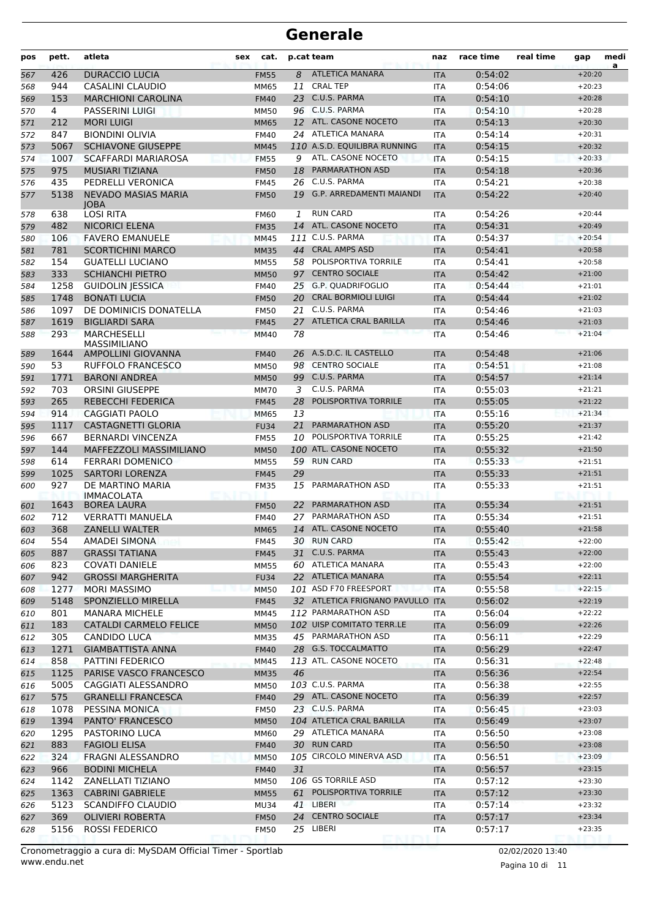| pos | pett. | atleta                                    | <b>sex</b> | cat.        |    | p.cat team                      | naz        | race time | real time | gap      | medi<br>a |
|-----|-------|-------------------------------------------|------------|-------------|----|---------------------------------|------------|-----------|-----------|----------|-----------|
| 567 | 426   | <b>DURACCIO LUCIA</b>                     |            | <b>FM55</b> | 8  | <b>ATLETICA MANARA</b>          | <b>ITA</b> | 0:54:02   |           | $+20:20$ |           |
| 568 | 944   | CASALINI CLAUDIO                          |            | MM65        | 11 | <b>CRAL TEP</b>                 | <b>ITA</b> | 0:54:06   |           | $+20:23$ |           |
| 569 | 153   | <b>MARCHIONI CAROLINA</b>                 |            | <b>FM40</b> |    | 23 C.U.S. PARMA                 | <b>ITA</b> | 0:54:10   |           | $+20:28$ |           |
| 570 | 4     | <b>PASSERINI LUIGI</b>                    |            | <b>MM50</b> |    | 96 C.U.S. PARMA                 | <b>ITA</b> | 0:54:10   |           | $+20:28$ |           |
| 571 | 212   | <b>MORI LUIGI</b>                         |            | <b>MM65</b> |    | 12 ATL. CASONE NOCETO           | <b>ITA</b> | 0:54:13   |           | $+20:30$ |           |
| 572 | 847   | <b>BIONDINI OLIVIA</b>                    |            | <b>FM40</b> |    | 24 ATLETICA MANARA              | <b>ITA</b> | 0:54:14   |           | $+20:31$ |           |
| 573 | 5067  | <b>SCHIAVONE GIUSEPPE</b>                 |            | <b>MM45</b> |    | 110 A.S.D. EQUILIBRA RUNNING    | <b>ITA</b> | 0:54:15   |           | $+20:32$ |           |
| 574 | 1007  | <b>SCAFFARDI MARIAROSA</b>                |            | <b>FM55</b> | 9  | ATL. CASONE NOCETO              | <b>ITA</b> | 0:54:15   |           | $+20:33$ |           |
| 575 | 975   | <b>MUSIARI TIZIANA</b>                    |            | <b>FM50</b> | 18 | <b>PARMARATHON ASD</b>          | <b>ITA</b> | 0:54:18   |           | $+20:36$ |           |
| 576 | 435   | PEDRELLI VERONICA                         |            | <b>FM45</b> | 26 | C.U.S. PARMA                    | <b>ITA</b> | 0:54:21   |           | $+20:38$ |           |
| 577 | 5138  | <b>NEVADO MASIAS MARIA</b><br><b>IOBA</b> |            | <b>FM50</b> | 19 | <b>G.P. ARREDAMENTI MAIANDI</b> | <b>ITA</b> | 0:54:22   |           | $+20:40$ |           |
| 578 | 638   | <b>LOSI RITA</b>                          |            | <b>FM60</b> | 1  | <b>RUN CARD</b>                 | <b>ITA</b> | 0:54:26   |           | $+20:44$ |           |
| 579 | 482   | <b>NICORICI ELENA</b>                     |            | <b>FM35</b> | 14 | ATL. CASONE NOCETO              | <b>ITA</b> | 0:54:31   |           | $+20:49$ |           |
| 580 | 106   | <b>FAVERO EMANUELE</b>                    |            | <b>MM45</b> |    | 111 C.U.S. PARMA                | <b>ITA</b> | 0:54:37   |           | $+20:54$ |           |
| 581 | 781   | <b>SCORTICHINI MARCO</b>                  |            | <b>MM35</b> |    | 44 CRAL AMPS ASD                | <b>ITA</b> | 0:54:41   |           | $+20:58$ |           |
| 582 | 154   | <b>GUATELLI LUCIANO</b>                   |            | <b>MM55</b> |    | 58 POLISPORTIVA TORRILE         | <b>ITA</b> | 0:54:41   |           | $+20:58$ |           |
| 583 | 333   | <b>SCHIANCHI PIETRO</b>                   |            | <b>MM50</b> |    | 97 CENTRO SOCIALE               | <b>ITA</b> | 0:54:42   |           | $+21:00$ |           |
| 584 | 1258  | <b>GUIDOLIN JESSICA</b>                   |            | <b>FM40</b> | 25 | <b>G.P. QUADRIFOGLIO</b>        | <b>ITA</b> | 0:54:44   |           | $+21:01$ |           |
| 585 | 1748  | <b>BONATI LUCIA</b>                       |            | <b>FM50</b> | 20 | <b>CRAL BORMIOLI LUIGI</b>      | <b>ITA</b> | 0:54:44   |           | $+21:02$ |           |
| 586 | 1097  | DE DOMINICIS DONATELLA                    |            | <b>FM50</b> | 21 | C.U.S. PARMA                    | <b>ITA</b> | 0:54:46   |           | $+21:03$ |           |
| 587 | 1619  | <b>BIGLIARDI SARA</b>                     |            | <b>FM45</b> |    | 27 ATLETICA CRAL BARILLA        | <b>ITA</b> | 0:54:46   |           | $+21:03$ |           |
| 588 | 293   | <b>MARCHESELLI</b><br><b>MASSIMILIANO</b> |            | MM40        | 78 |                                 | <b>ITA</b> | 0:54:46   |           | $+21:04$ |           |
| 589 | 1644  | AMPOLLINI GIOVANNA                        |            | <b>FM40</b> | 26 | A.S.D.C. IL CASTELLO            | <b>ITA</b> | 0:54:48   |           | $+21:06$ |           |
| 590 | 53    | <b>RUFFOLO FRANCESCO</b>                  |            | <b>MM50</b> | 98 | <b>CENTRO SOCIALE</b>           | <b>ITA</b> | 0:54:51   |           | $+21:08$ |           |
| 591 | 1771  | <b>BARONI ANDREA</b>                      |            | <b>MM50</b> |    | 99 C.U.S. PARMA                 | <b>ITA</b> | 0:54:57   |           | $+21:14$ |           |
| 592 | 703   | <b>ORSINI GIUSEPPE</b>                    |            | <b>MM70</b> | 3  | C.U.S. PARMA                    | <b>ITA</b> | 0:55:03   |           | $+21:21$ |           |
| 593 | 265   | <b>REBECCHI FEDERICA</b>                  |            | <b>FM45</b> | 28 | POLISPORTIVA TORRILE            | <b>ITA</b> | 0:55:05   |           | $+21:22$ |           |
| 594 | 914   | CAGGIATI PAOLO                            |            | <b>MM65</b> | 13 |                                 | <b>ITA</b> | 0:55:16   |           | $+21:34$ |           |
| 595 | 1117  | CASTAGNETTI GLORIA                        |            | <b>FU34</b> | 21 | PARMARATHON ASD                 | <b>ITA</b> | 0:55:20   |           | $+21:37$ |           |
| 596 | 667   | <b>BERNARDI VINCENZA</b>                  |            | <b>FM55</b> | 10 | POLISPORTIVA TORRILE            | <b>ITA</b> | 0:55:25   |           | $+21:42$ |           |
| 597 | 144   | MAFFEZZOLI MASSIMILIANO                   |            | <b>MM50</b> |    | 100 ATL. CASONE NOCETO          | <b>ITA</b> | 0:55:32   |           | $+21:50$ |           |
| 598 | 614   | <b>FERRARI DOMENICO</b>                   |            | <b>MM55</b> |    | 59 RUN CARD                     | <b>ITA</b> | 0:55:33   |           | $+21:51$ |           |
| 599 | 1025  | <b>SARTORI LORENZA</b>                    |            | <b>FM45</b> | 29 |                                 | <b>ITA</b> | 0:55:33   |           | $+21:51$ |           |
| 600 | 927   | DE MARTINO MARIA<br><b>IMMACOLATA</b>     |            | <b>FM35</b> | 15 | PARMARATHON ASD                 | <b>ITA</b> | 0:55:33   |           | $+21:51$ |           |
| 601 | 1643  | <b>BOREA LAURA</b>                        |            | <b>FM50</b> |    | 22 PARMARATHON ASD              | <b>ITA</b> | 0:55:34   |           | $+21:51$ |           |
| 602 | 712   | <b>VERRATTI MANUELA</b>                   |            | <b>FM40</b> | 27 | PARMARATHON ASD                 | <b>ITA</b> | 0:55:34   |           | $+21:51$ |           |
| 603 | 368   | <b>ZANELLI WALTER</b>                     |            | <b>MM65</b> | 14 | ATL. CASONE NOCETO              | <b>ITA</b> | 0:55:40   |           | $+21:58$ |           |
| 604 | 554   | <b>AMADEI SIMONA</b>                      |            | <b>FM45</b> |    | 30 RUN CARD                     | ITA        | 0:55:42   |           | $+22:00$ |           |
| 605 | 887   | <b>GRASSI TATIANA</b>                     |            | <b>FM45</b> |    | 31 C.U.S. PARMA                 | <b>ITA</b> | 0:55:43   |           | $+22:00$ |           |
| 606 | 823   | <b>COVATI DANIELE</b>                     |            | <b>MM55</b> |    | 60 ATLETICA MANARA              | ITA        | 0:55:43   |           | $+22:00$ |           |
| 607 | 942   | <b>GROSSI MARGHERITA</b>                  |            | <b>FU34</b> |    | 22 ATLETICA MANARA              | <b>ITA</b> | 0:55:54   |           | $+22:11$ |           |
| 608 | 1277  | <b>MORI MASSIMO</b>                       |            | <b>MM50</b> |    | 101 ASD F70 FREESPORT           | ITA        | 0:55:58   |           | $+22:15$ |           |
| 609 | 5148  | SPONZIELLO MIRELLA                        |            | <b>FM45</b> |    | 32 ATLETICA FRIGNANO PAVULLO    | <b>ITA</b> | 0:56:02   |           | $+22:19$ |           |
| 610 | 801   | <b>MANARA MICHELE</b>                     |            | MM45        |    | 112 PARMARATHON ASD             | ITA        | 0:56:04   |           | $+22:22$ |           |
| 611 | 183   | <b>CATALDI CARMELO FELICE</b>             |            | <b>MM50</b> |    | 102 UISP COMITATO TERR.LE       | <b>ITA</b> | 0:56:09   |           | $+22:26$ |           |
| 612 | 305   | <b>CANDIDO LUCA</b>                       |            | <b>MM35</b> |    | 45 PARMARATHON ASD              | ITA        | 0:56:11   |           | $+22:29$ |           |
| 613 | 1271  | <b>GIAMBATTISTA ANNA</b>                  |            | <b>FM40</b> |    | 28 G.S. TOCCALMATTO             | <b>ITA</b> | 0:56:29   |           | $+22:47$ |           |
| 614 | 858   | PATTINI FEDERICO                          |            | <b>MM45</b> |    | 113 ATL. CASONE NOCETO          | ITA        | 0:56:31   |           | $+22:48$ |           |
| 615 | 1125  | PARISE VASCO FRANCESCO                    |            | <b>MM35</b> | 46 |                                 | <b>ITA</b> | 0:56:36   |           | $+22:54$ |           |
| 616 | 5005  | CAGGIATI ALESSANDRO                       |            | <b>MM50</b> |    | 103 C.U.S. PARMA                | ITA.       | 0:56:38   |           | $+22:55$ |           |
| 617 | 575   | <b>GRANELLI FRANCESCA</b>                 |            | <b>FM40</b> |    | 29 ATL. CASONE NOCETO           | <b>ITA</b> | 0:56:39   |           | $+22:57$ |           |
| 618 | 1078  | PESSINA MONICA                            |            | <b>FM50</b> |    | 23 C.U.S. PARMA                 | ITA        | 0:56:45   |           | $+23:03$ |           |
| 619 | 1394  | PANTO' FRANCESCO                          |            | <b>MM50</b> |    | 104 ATLETICA CRAL BARILLA       | <b>ITA</b> | 0:56:49   |           | $+23:07$ |           |
| 620 | 1295  | PASTORINO LUCA                            |            | MM60        |    | 29 ATLETICA MANARA              | ITA        | 0:56:50   |           | $+23:08$ |           |
| 621 | 883   | <b>FAGIOLI ELISA</b>                      |            | <b>FM40</b> |    | 30 RUN CARD                     | <b>ITA</b> | 0:56:50   |           | $+23:08$ |           |
| 622 | 324   | FRAGNI ALESSANDRO                         |            | <b>MM50</b> |    | 105 CIRCOLO MINERVA ASD         | ITA        | 0:56:51   |           | $+23:09$ |           |
| 623 | 966   | <b>BODINI MICHELA</b>                     |            | <b>FM40</b> | 31 |                                 | <b>ITA</b> | 0:56:57   |           | $+23:15$ |           |
| 624 | 1142  | ZANELLATI TIZIANO                         |            | <b>MM50</b> |    | 106 GS TORRILE ASD              | ITA        | 0:57:12   |           | $+23:30$ |           |
| 625 | 1363  | <b>CABRINI GABRIELE</b>                   |            | <b>MM55</b> |    | 61 POLISPORTIVA TORRILE         | <b>ITA</b> | 0:57:12   |           | $+23:30$ |           |
| 626 | 5123  | <b>SCANDIFFO CLAUDIO</b>                  |            | <b>MU34</b> |    | 41 LIBERI                       | ITA        | 0:57:14   |           | $+23:32$ |           |
| 627 | 369   | <b>OLIVIERI ROBERTA</b>                   |            | <b>FM50</b> |    | 24 CENTRO SOCIALE               | <b>ITA</b> | 0:57:17   |           | $+23:34$ |           |
| 628 | 5156  | <b>ROSSI FEDERICO</b>                     |            | <b>FM50</b> |    | 25 LIBERI                       | ITA        | 0:57:17   |           | $+23:35$ |           |

www.endu.net Cronometraggio a cura di: MySDAM Official Timer - Sportlab 02/02/2020 13:40

Pagina 10 di 11